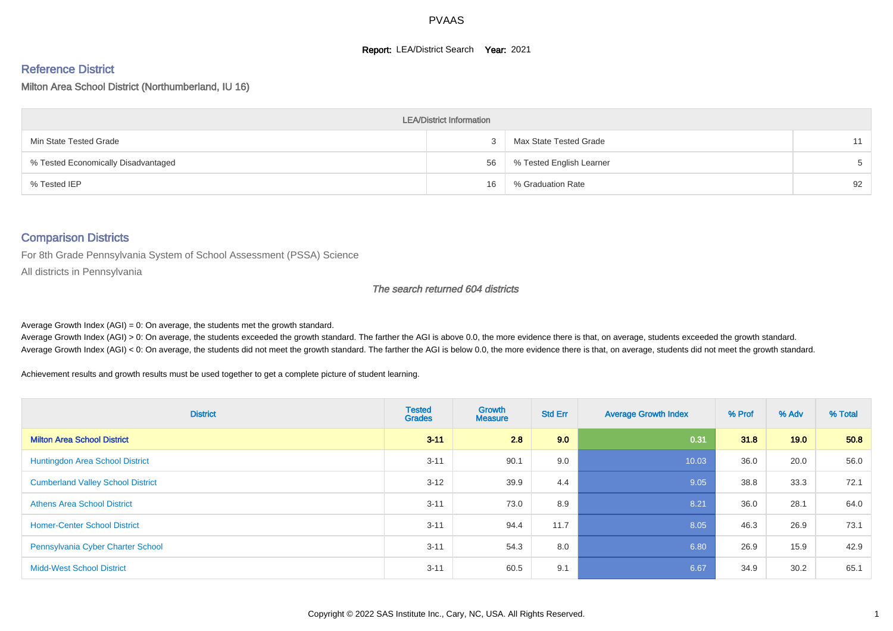#### **Report: LEA/District Search Year: 2021**

#### Reference District

Milton Area School District (Northumberland, IU 16)

| <b>LEA/District Information</b>     |    |                          |    |  |  |  |  |  |  |
|-------------------------------------|----|--------------------------|----|--|--|--|--|--|--|
| Min State Tested Grade              |    | Max State Tested Grade   | 11 |  |  |  |  |  |  |
| % Tested Economically Disadvantaged | 56 | % Tested English Learner |    |  |  |  |  |  |  |
| % Tested IEP                        | 16 | % Graduation Rate        | 92 |  |  |  |  |  |  |

#### Comparison Districts

For 8th Grade Pennsylvania System of School Assessment (PSSA) Science

All districts in Pennsylvania

#### The search returned 604 districts

Average Growth Index  $(AGI) = 0$ : On average, the students met the growth standard.

Average Growth Index (AGI) > 0: On average, the students exceeded the growth standard. The farther the AGI is above 0.0, the more evidence there is that, on average, students exceeded the growth standard. Average Growth Index (AGI) < 0: On average, the students did not meet the growth standard. The farther the AGI is below 0.0, the more evidence there is that, on average, students did not meet the growth standard.

Achievement results and growth results must be used together to get a complete picture of student learning.

| <b>District</b>                          | <b>Tested</b><br><b>Grades</b> | Growth<br><b>Measure</b> | <b>Std Err</b> | <b>Average Growth Index</b> | % Prof | % Adv | % Total |
|------------------------------------------|--------------------------------|--------------------------|----------------|-----------------------------|--------|-------|---------|
| <b>Milton Area School District</b>       | $3 - 11$                       | 2.8                      | 9.0            | 0.31                        | 31.8   | 19.0  | 50.8    |
| <b>Huntingdon Area School District</b>   | $3 - 11$                       | 90.1                     | 9.0            | 10.03                       | 36.0   | 20.0  | 56.0    |
| <b>Cumberland Valley School District</b> | $3 - 12$                       | 39.9                     | 4.4            | 9.05                        | 38.8   | 33.3  | 72.1    |
| <b>Athens Area School District</b>       | $3 - 11$                       | 73.0                     | 8.9            | 8.21                        | 36.0   | 28.1  | 64.0    |
| <b>Homer-Center School District</b>      | $3 - 11$                       | 94.4                     | 11.7           | 8.05                        | 46.3   | 26.9  | 73.1    |
| Pennsylvania Cyber Charter School        | $3 - 11$                       | 54.3                     | 8.0            | 6.80                        | 26.9   | 15.9  | 42.9    |
| <b>Midd-West School District</b>         | $3 - 11$                       | 60.5                     | 9.1            | 6.67                        | 34.9   | 30.2  | 65.1    |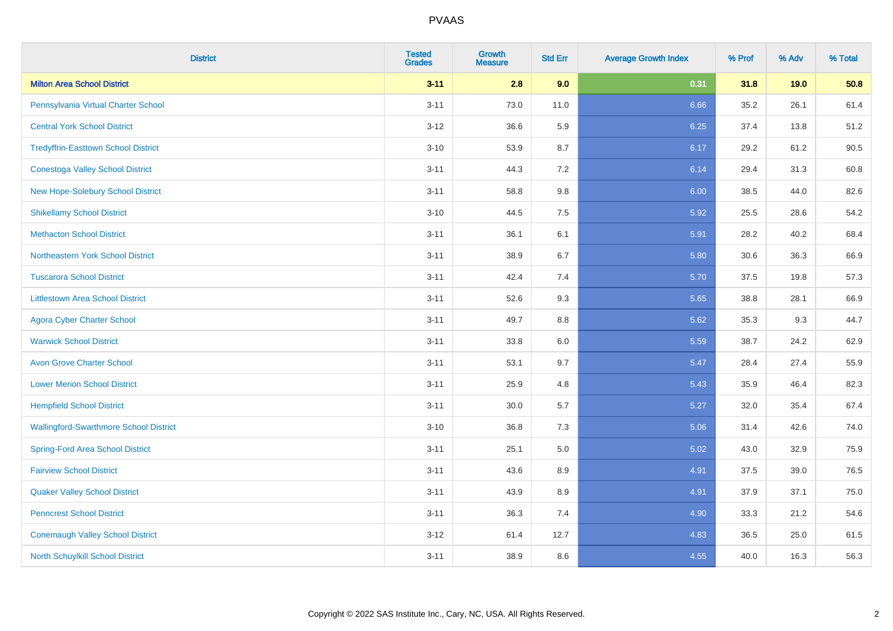| <b>District</b>                               | <b>Tested</b><br><b>Grades</b> | Growth<br>Measure | <b>Std Err</b> | <b>Average Growth Index</b> | % Prof | % Adv | % Total |
|-----------------------------------------------|--------------------------------|-------------------|----------------|-----------------------------|--------|-------|---------|
| <b>Milton Area School District</b>            | $3 - 11$                       | 2.8               | 9.0            | 0.31                        | 31.8   | 19.0  | 50.8    |
| Pennsylvania Virtual Charter School           | $3 - 11$                       | 73.0              | 11.0           | 6.66                        | 35.2   | 26.1  | 61.4    |
| <b>Central York School District</b>           | $3 - 12$                       | 36.6              | 5.9            | 6.25                        | 37.4   | 13.8  | 51.2    |
| <b>Tredyffrin-Easttown School District</b>    | $3 - 10$                       | 53.9              | 8.7            | 6.17                        | 29.2   | 61.2  | 90.5    |
| <b>Conestoga Valley School District</b>       | $3 - 11$                       | 44.3              | 7.2            | 6.14                        | 29.4   | 31.3  | 60.8    |
| New Hope-Solebury School District             | $3 - 11$                       | 58.8              | $9.8\,$        | 6.00                        | 38.5   | 44.0  | 82.6    |
| <b>Shikellamy School District</b>             | $3 - 10$                       | 44.5              | 7.5            | 5.92                        | 25.5   | 28.6  | 54.2    |
| <b>Methacton School District</b>              | $3 - 11$                       | 36.1              | 6.1            | 5.91                        | 28.2   | 40.2  | 68.4    |
| Northeastern York School District             | $3 - 11$                       | 38.9              | 6.7            | 5.80                        | 30.6   | 36.3  | 66.9    |
| <b>Tuscarora School District</b>              | $3 - 11$                       | 42.4              | 7.4            | 5.70                        | 37.5   | 19.8  | 57.3    |
| <b>Littlestown Area School District</b>       | $3 - 11$                       | 52.6              | 9.3            | 5.65                        | 38.8   | 28.1  | 66.9    |
| <b>Agora Cyber Charter School</b>             | $3 - 11$                       | 49.7              | $8.8\,$        | 5.62                        | 35.3   | 9.3   | 44.7    |
| <b>Warwick School District</b>                | $3 - 11$                       | 33.8              | $6.0\,$        | 5.59                        | 38.7   | 24.2  | 62.9    |
| <b>Avon Grove Charter School</b>              | $3 - 11$                       | 53.1              | 9.7            | 5.47                        | 28.4   | 27.4  | 55.9    |
| <b>Lower Merion School District</b>           | $3 - 11$                       | 25.9              | 4.8            | 5.43                        | 35.9   | 46.4  | 82.3    |
| <b>Hempfield School District</b>              | $3 - 11$                       | $30.0\,$          | $5.7\,$        | 5.27                        | 32.0   | 35.4  | 67.4    |
| <b>Wallingford-Swarthmore School District</b> | $3 - 10$                       | 36.8              | 7.3            | 5.06                        | 31.4   | 42.6  | 74.0    |
| <b>Spring-Ford Area School District</b>       | $3 - 11$                       | 25.1              | $5.0\,$        | 5.02                        | 43.0   | 32.9  | 75.9    |
| <b>Fairview School District</b>               | $3 - 11$                       | 43.6              | 8.9            | 4.91                        | 37.5   | 39.0  | 76.5    |
| <b>Quaker Valley School District</b>          | $3 - 11$                       | 43.9              | 8.9            | 4.91                        | 37.9   | 37.1  | 75.0    |
| <b>Penncrest School District</b>              | $3 - 11$                       | 36.3              | 7.4            | 4.90                        | 33.3   | 21.2  | 54.6    |
| <b>Conemaugh Valley School District</b>       | $3 - 12$                       | 61.4              | 12.7           | 4.83                        | 36.5   | 25.0  | 61.5    |
| <b>North Schuylkill School District</b>       | $3 - 11$                       | 38.9              | 8.6            | 4.55                        | 40.0   | 16.3  | 56.3    |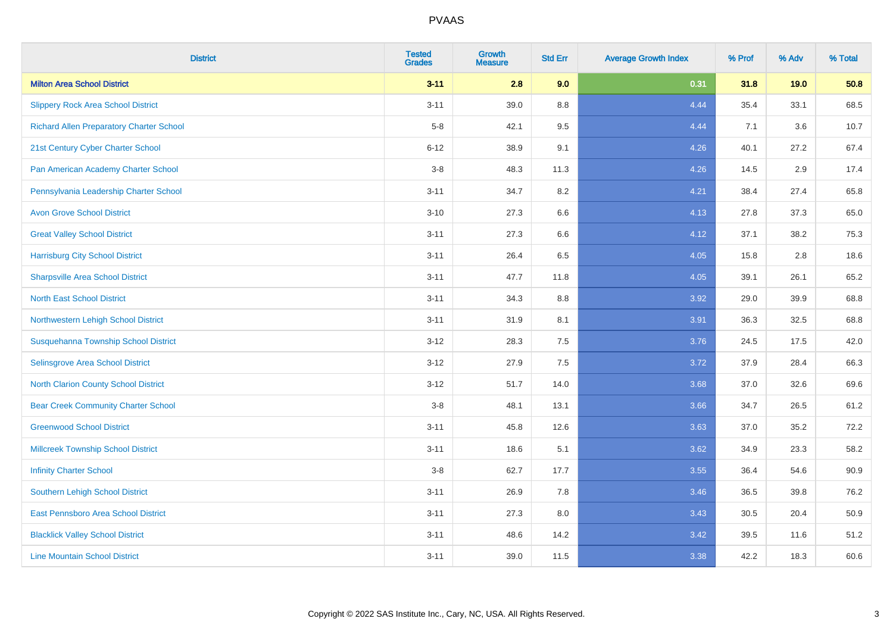| <b>District</b>                                 | <b>Tested</b><br><b>Grades</b> | <b>Growth</b><br><b>Measure</b> | <b>Std Err</b> | <b>Average Growth Index</b> | % Prof | % Adv | % Total |
|-------------------------------------------------|--------------------------------|---------------------------------|----------------|-----------------------------|--------|-------|---------|
| <b>Milton Area School District</b>              | $3 - 11$                       | 2.8                             | 9.0            | 0.31                        | 31.8   | 19.0  | 50.8    |
| <b>Slippery Rock Area School District</b>       | $3 - 11$                       | 39.0                            | 8.8            | 4.44                        | 35.4   | 33.1  | 68.5    |
| <b>Richard Allen Preparatory Charter School</b> | $5-8$                          | 42.1                            | 9.5            | 4.44                        | 7.1    | 3.6   | 10.7    |
| 21st Century Cyber Charter School               | $6 - 12$                       | 38.9                            | 9.1            | 4.26                        | 40.1   | 27.2  | 67.4    |
| Pan American Academy Charter School             | $3-8$                          | 48.3                            | 11.3           | 4.26                        | 14.5   | 2.9   | 17.4    |
| Pennsylvania Leadership Charter School          | $3 - 11$                       | 34.7                            | 8.2            | 4.21                        | 38.4   | 27.4  | 65.8    |
| <b>Avon Grove School District</b>               | $3 - 10$                       | 27.3                            | 6.6            | 4.13                        | 27.8   | 37.3  | 65.0    |
| <b>Great Valley School District</b>             | $3 - 11$                       | 27.3                            | 6.6            | 4.12                        | 37.1   | 38.2  | 75.3    |
| <b>Harrisburg City School District</b>          | $3 - 11$                       | 26.4                            | 6.5            | 4.05                        | 15.8   | 2.8   | 18.6    |
| <b>Sharpsville Area School District</b>         | $3 - 11$                       | 47.7                            | 11.8           | 4.05                        | 39.1   | 26.1  | 65.2    |
| <b>North East School District</b>               | $3 - 11$                       | 34.3                            | 8.8            | 3.92                        | 29.0   | 39.9  | 68.8    |
| Northwestern Lehigh School District             | $3 - 11$                       | 31.9                            | 8.1            | 3.91                        | 36.3   | 32.5  | 68.8    |
| Susquehanna Township School District            | $3 - 12$                       | 28.3                            | 7.5            | 3.76                        | 24.5   | 17.5  | 42.0    |
| Selinsgrove Area School District                | $3 - 12$                       | 27.9                            | 7.5            | 3.72                        | 37.9   | 28.4  | 66.3    |
| North Clarion County School District            | $3 - 12$                       | 51.7                            | 14.0           | 3.68                        | 37.0   | 32.6  | 69.6    |
| <b>Bear Creek Community Charter School</b>      | $3-8$                          | 48.1                            | 13.1           | 3.66                        | 34.7   | 26.5  | 61.2    |
| <b>Greenwood School District</b>                | $3 - 11$                       | 45.8                            | 12.6           | 3.63                        | 37.0   | 35.2  | 72.2    |
| <b>Millcreek Township School District</b>       | $3 - 11$                       | 18.6                            | 5.1            | 3.62                        | 34.9   | 23.3  | 58.2    |
| <b>Infinity Charter School</b>                  | $3-8$                          | 62.7                            | 17.7           | 3.55                        | 36.4   | 54.6  | 90.9    |
| <b>Southern Lehigh School District</b>          | $3 - 11$                       | 26.9                            | 7.8            | 3.46                        | 36.5   | 39.8  | 76.2    |
| East Pennsboro Area School District             | $3 - 11$                       | 27.3                            | $8.0\,$        | 3.43                        | 30.5   | 20.4  | 50.9    |
| <b>Blacklick Valley School District</b>         | $3 - 11$                       | 48.6                            | 14.2           | 3.42                        | 39.5   | 11.6  | 51.2    |
| <b>Line Mountain School District</b>            | $3 - 11$                       | 39.0                            | 11.5           | 3.38                        | 42.2   | 18.3  | 60.6    |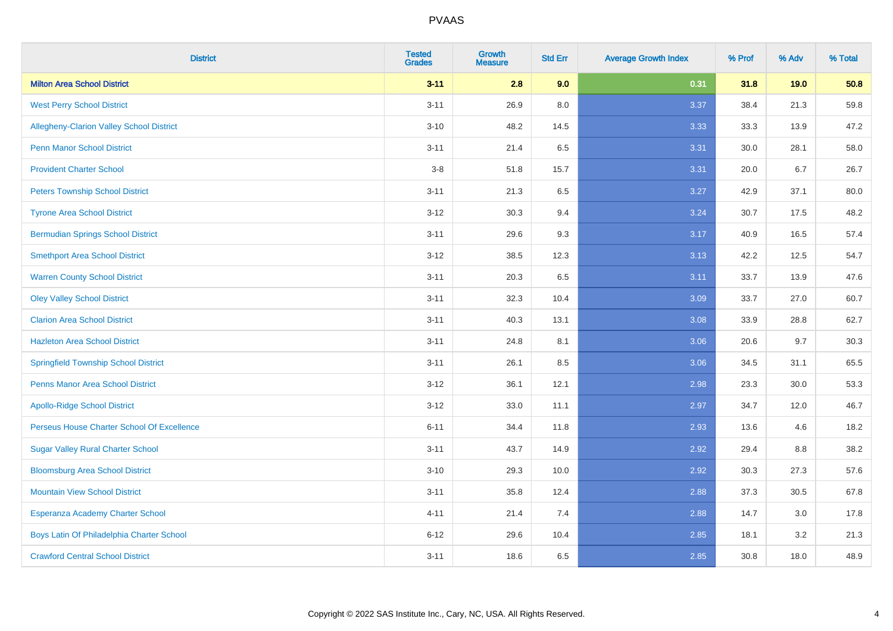| <b>District</b>                             | <b>Tested</b><br><b>Grades</b> | <b>Growth</b><br><b>Measure</b> | <b>Std Err</b> | <b>Average Growth Index</b> | % Prof | % Adv | % Total |
|---------------------------------------------|--------------------------------|---------------------------------|----------------|-----------------------------|--------|-------|---------|
| <b>Milton Area School District</b>          | $3 - 11$                       | 2.8                             | 9.0            | 0.31                        | 31.8   | 19.0  | 50.8    |
| <b>West Perry School District</b>           | $3 - 11$                       | 26.9                            | 8.0            | 3.37                        | 38.4   | 21.3  | 59.8    |
| Allegheny-Clarion Valley School District    | $3 - 10$                       | 48.2                            | 14.5           | 3.33                        | 33.3   | 13.9  | 47.2    |
| <b>Penn Manor School District</b>           | $3 - 11$                       | 21.4                            | 6.5            | 3.31                        | 30.0   | 28.1  | 58.0    |
| <b>Provident Charter School</b>             | $3-8$                          | 51.8                            | 15.7           | 3.31                        | 20.0   | 6.7   | 26.7    |
| <b>Peters Township School District</b>      | $3 - 11$                       | 21.3                            | 6.5            | 3.27                        | 42.9   | 37.1  | 80.0    |
| <b>Tyrone Area School District</b>          | $3 - 12$                       | 30.3                            | 9.4            | 3.24                        | 30.7   | 17.5  | 48.2    |
| <b>Bermudian Springs School District</b>    | $3 - 11$                       | 29.6                            | 9.3            | 3.17                        | 40.9   | 16.5  | 57.4    |
| <b>Smethport Area School District</b>       | $3 - 12$                       | 38.5                            | 12.3           | 3.13                        | 42.2   | 12.5  | 54.7    |
| <b>Warren County School District</b>        | $3 - 11$                       | 20.3                            | 6.5            | 3.11                        | 33.7   | 13.9  | 47.6    |
| <b>Oley Valley School District</b>          | $3 - 11$                       | 32.3                            | 10.4           | 3.09                        | 33.7   | 27.0  | 60.7    |
| <b>Clarion Area School District</b>         | $3 - 11$                       | 40.3                            | 13.1           | 3.08                        | 33.9   | 28.8  | 62.7    |
| <b>Hazleton Area School District</b>        | $3 - 11$                       | 24.8                            | 8.1            | 3.06                        | 20.6   | 9.7   | 30.3    |
| <b>Springfield Township School District</b> | $3 - 11$                       | 26.1                            | 8.5            | 3.06                        | 34.5   | 31.1  | 65.5    |
| <b>Penns Manor Area School District</b>     | $3 - 12$                       | 36.1                            | 12.1           | 2.98                        | 23.3   | 30.0  | 53.3    |
| <b>Apollo-Ridge School District</b>         | $3 - 12$                       | 33.0                            | 11.1           | 2.97                        | 34.7   | 12.0  | 46.7    |
| Perseus House Charter School Of Excellence  | $6 - 11$                       | 34.4                            | 11.8           | 2.93                        | 13.6   | 4.6   | 18.2    |
| <b>Sugar Valley Rural Charter School</b>    | $3 - 11$                       | 43.7                            | 14.9           | 2.92                        | 29.4   | 8.8   | 38.2    |
| <b>Bloomsburg Area School District</b>      | $3 - 10$                       | 29.3                            | 10.0           | 2.92                        | 30.3   | 27.3  | 57.6    |
| <b>Mountain View School District</b>        | $3 - 11$                       | 35.8                            | 12.4           | 2.88                        | 37.3   | 30.5  | 67.8    |
| Esperanza Academy Charter School            | $4 - 11$                       | 21.4                            | 7.4            | 2.88                        | 14.7   | 3.0   | 17.8    |
| Boys Latin Of Philadelphia Charter School   | $6 - 12$                       | 29.6                            | 10.4           | 2.85                        | 18.1   | 3.2   | 21.3    |
| <b>Crawford Central School District</b>     | $3 - 11$                       | 18.6                            | 6.5            | 2.85                        | 30.8   | 18.0  | 48.9    |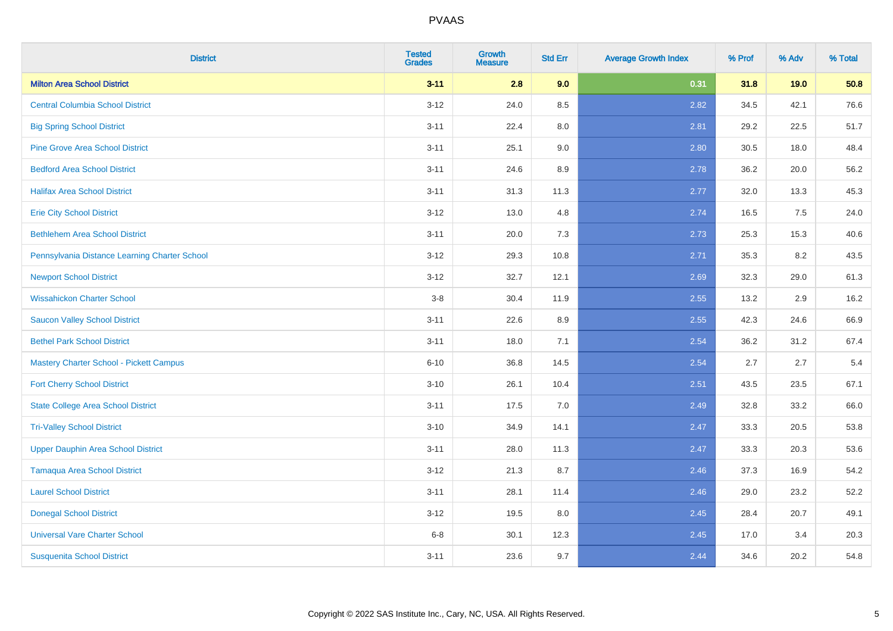| <b>District</b>                                | <b>Tested</b><br><b>Grades</b> | Growth<br>Measure | <b>Std Err</b> | <b>Average Growth Index</b> | % Prof | % Adv | % Total |
|------------------------------------------------|--------------------------------|-------------------|----------------|-----------------------------|--------|-------|---------|
| <b>Milton Area School District</b>             | $3 - 11$                       | 2.8               | 9.0            | 0.31                        | 31.8   | 19.0  | 50.8    |
| <b>Central Columbia School District</b>        | $3 - 12$                       | 24.0              | 8.5            | 2.82                        | 34.5   | 42.1  | 76.6    |
| <b>Big Spring School District</b>              | $3 - 11$                       | 22.4              | 8.0            | 2.81                        | 29.2   | 22.5  | 51.7    |
| <b>Pine Grove Area School District</b>         | $3 - 11$                       | 25.1              | 9.0            | 2.80                        | 30.5   | 18.0  | 48.4    |
| <b>Bedford Area School District</b>            | $3 - 11$                       | 24.6              | 8.9            | 2.78                        | 36.2   | 20.0  | 56.2    |
| <b>Halifax Area School District</b>            | $3 - 11$                       | 31.3              | 11.3           | 2.77                        | 32.0   | 13.3  | 45.3    |
| <b>Erie City School District</b>               | $3 - 12$                       | 13.0              | 4.8            | 2.74                        | 16.5   | 7.5   | 24.0    |
| <b>Bethlehem Area School District</b>          | $3 - 11$                       | 20.0              | 7.3            | 2.73                        | 25.3   | 15.3  | 40.6    |
| Pennsylvania Distance Learning Charter School  | $3 - 12$                       | 29.3              | 10.8           | 2.71                        | 35.3   | 8.2   | 43.5    |
| <b>Newport School District</b>                 | $3 - 12$                       | 32.7              | 12.1           | 2.69                        | 32.3   | 29.0  | 61.3    |
| <b>Wissahickon Charter School</b>              | $3-8$                          | 30.4              | 11.9           | 2.55                        | 13.2   | 2.9   | 16.2    |
| <b>Saucon Valley School District</b>           | $3 - 11$                       | 22.6              | 8.9            | 2.55                        | 42.3   | 24.6  | 66.9    |
| <b>Bethel Park School District</b>             | $3 - 11$                       | 18.0              | 7.1            | 2.54                        | 36.2   | 31.2  | 67.4    |
| <b>Mastery Charter School - Pickett Campus</b> | $6 - 10$                       | 36.8              | 14.5           | 2.54                        | 2.7    | 2.7   | 5.4     |
| <b>Fort Cherry School District</b>             | $3 - 10$                       | 26.1              | 10.4           | 2.51                        | 43.5   | 23.5  | 67.1    |
| <b>State College Area School District</b>      | $3 - 11$                       | 17.5              | 7.0            | 2.49                        | 32.8   | 33.2  | 66.0    |
| <b>Tri-Valley School District</b>              | $3 - 10$                       | 34.9              | 14.1           | 2.47                        | 33.3   | 20.5  | 53.8    |
| <b>Upper Dauphin Area School District</b>      | $3 - 11$                       | 28.0              | 11.3           | 2.47                        | 33.3   | 20.3  | 53.6    |
| <b>Tamaqua Area School District</b>            | $3 - 12$                       | 21.3              | 8.7            | 2.46                        | 37.3   | 16.9  | 54.2    |
| <b>Laurel School District</b>                  | $3 - 11$                       | 28.1              | 11.4           | 2.46                        | 29.0   | 23.2  | 52.2    |
| <b>Donegal School District</b>                 | $3 - 12$                       | 19.5              | 8.0            | 2.45                        | 28.4   | 20.7  | 49.1    |
| <b>Universal Vare Charter School</b>           | $6-8$                          | 30.1              | 12.3           | 2.45                        | 17.0   | 3.4   | 20.3    |
| <b>Susquenita School District</b>              | $3 - 11$                       | 23.6              | 9.7            | 2.44                        | 34.6   | 20.2  | 54.8    |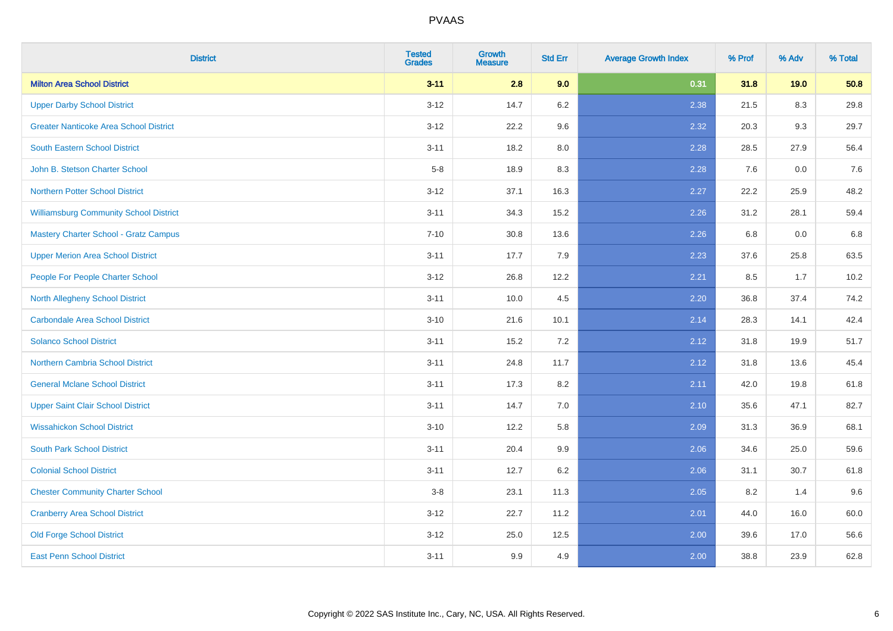| <b>District</b>                               | <b>Tested</b><br><b>Grades</b> | <b>Growth</b><br>Measure | <b>Std Err</b> | <b>Average Growth Index</b> | % Prof | % Adv | % Total |
|-----------------------------------------------|--------------------------------|--------------------------|----------------|-----------------------------|--------|-------|---------|
| <b>Milton Area School District</b>            | $3 - 11$                       | 2.8                      | 9.0            | 0.31                        | 31.8   | 19.0  | 50.8    |
| <b>Upper Darby School District</b>            | $3 - 12$                       | 14.7                     | $6.2\,$        | 2.38                        | 21.5   | 8.3   | 29.8    |
| <b>Greater Nanticoke Area School District</b> | $3 - 12$                       | 22.2                     | 9.6            | 2.32                        | 20.3   | 9.3   | 29.7    |
| <b>South Eastern School District</b>          | $3 - 11$                       | 18.2                     | 8.0            | 2.28                        | 28.5   | 27.9  | 56.4    |
| John B. Stetson Charter School                | $5-8$                          | 18.9                     | 8.3            | 2.28                        | 7.6    | 0.0   | 7.6     |
| <b>Northern Potter School District</b>        | $3 - 12$                       | 37.1                     | 16.3           | 2.27                        | 22.2   | 25.9  | 48.2    |
| <b>Williamsburg Community School District</b> | $3 - 11$                       | 34.3                     | 15.2           | 2.26                        | 31.2   | 28.1  | 59.4    |
| <b>Mastery Charter School - Gratz Campus</b>  | $7 - 10$                       | 30.8                     | 13.6           | 2.26                        | 6.8    | 0.0   | 6.8     |
| <b>Upper Merion Area School District</b>      | $3 - 11$                       | 17.7                     | 7.9            | 2.23                        | 37.6   | 25.8  | 63.5    |
| People For People Charter School              | $3-12$                         | 26.8                     | 12.2           | 2.21                        | 8.5    | 1.7   | 10.2    |
| North Allegheny School District               | $3 - 11$                       | 10.0                     | 4.5            | 2.20                        | 36.8   | 37.4  | 74.2    |
| <b>Carbondale Area School District</b>        | $3 - 10$                       | 21.6                     | 10.1           | 2.14                        | 28.3   | 14.1  | 42.4    |
| <b>Solanco School District</b>                | $3 - 11$                       | 15.2                     | 7.2            | 2.12                        | 31.8   | 19.9  | 51.7    |
| <b>Northern Cambria School District</b>       | $3 - 11$                       | 24.8                     | 11.7           | 2.12                        | 31.8   | 13.6  | 45.4    |
| <b>General Mclane School District</b>         | $3 - 11$                       | 17.3                     | 8.2            | 2.11                        | 42.0   | 19.8  | 61.8    |
| <b>Upper Saint Clair School District</b>      | $3 - 11$                       | 14.7                     | 7.0            | 2.10                        | 35.6   | 47.1  | 82.7    |
| <b>Wissahickon School District</b>            | $3 - 10$                       | 12.2                     | 5.8            | 2.09                        | 31.3   | 36.9  | 68.1    |
| <b>South Park School District</b>             | $3 - 11$                       | 20.4                     | 9.9            | 2.06                        | 34.6   | 25.0  | 59.6    |
| <b>Colonial School District</b>               | $3 - 11$                       | 12.7                     | $6.2\,$        | 2.06                        | 31.1   | 30.7  | 61.8    |
| <b>Chester Community Charter School</b>       | $3-8$                          | 23.1                     | 11.3           | 2.05                        | 8.2    | 1.4   | 9.6     |
| <b>Cranberry Area School District</b>         | $3 - 12$                       | 22.7                     | 11.2           | 2.01                        | 44.0   | 16.0  | 60.0    |
| <b>Old Forge School District</b>              | $3 - 12$                       | 25.0                     | 12.5           | 2.00                        | 39.6   | 17.0  | 56.6    |
| <b>East Penn School District</b>              | $3 - 11$                       | 9.9                      | 4.9            | 2.00                        | 38.8   | 23.9  | 62.8    |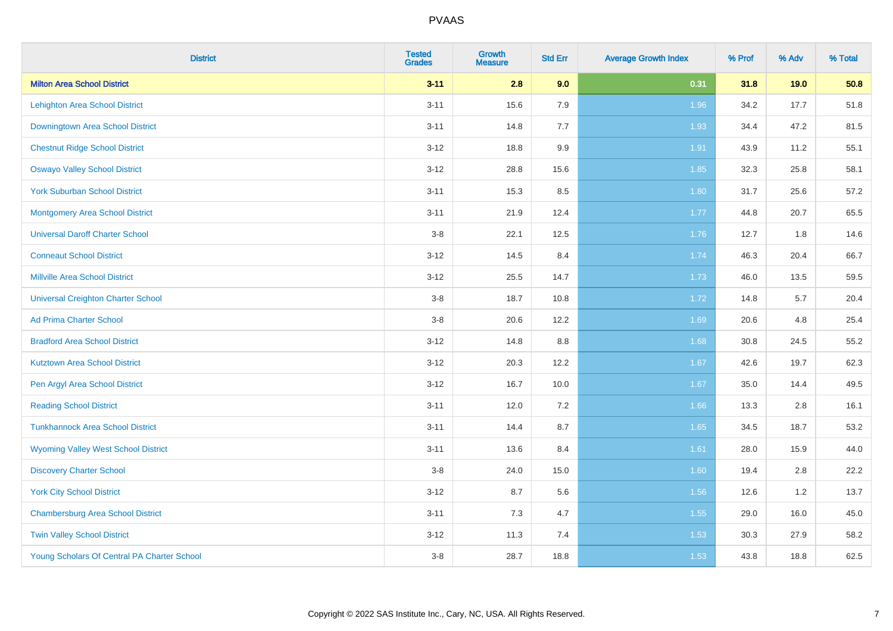| <b>District</b>                             | <b>Tested</b><br><b>Grades</b> | <b>Growth</b><br>Measure | <b>Std Err</b> | <b>Average Growth Index</b> | % Prof | % Adv | % Total |
|---------------------------------------------|--------------------------------|--------------------------|----------------|-----------------------------|--------|-------|---------|
| <b>Milton Area School District</b>          | $3 - 11$                       | 2.8                      | 9.0            | 0.31                        | 31.8   | 19.0  | 50.8    |
| <b>Lehighton Area School District</b>       | $3 - 11$                       | 15.6                     | 7.9            | 1.96                        | 34.2   | 17.7  | 51.8    |
| Downingtown Area School District            | $3 - 11$                       | 14.8                     | 7.7            | 1.93                        | 34.4   | 47.2  | 81.5    |
| <b>Chestnut Ridge School District</b>       | $3 - 12$                       | 18.8                     | 9.9            | 1.91                        | 43.9   | 11.2  | 55.1    |
| <b>Oswayo Valley School District</b>        | $3 - 12$                       | 28.8                     | 15.6           | 1.85                        | 32.3   | 25.8  | 58.1    |
| <b>York Suburban School District</b>        | $3 - 11$                       | 15.3                     | 8.5            | 1.80                        | 31.7   | 25.6  | 57.2    |
| <b>Montgomery Area School District</b>      | $3 - 11$                       | 21.9                     | 12.4           | 1.77                        | 44.8   | 20.7  | 65.5    |
| <b>Universal Daroff Charter School</b>      | $3-8$                          | 22.1                     | 12.5           | 1.76                        | 12.7   | 1.8   | 14.6    |
| <b>Conneaut School District</b>             | $3-12$                         | 14.5                     | 8.4            | 1.74                        | 46.3   | 20.4  | 66.7    |
| <b>Millville Area School District</b>       | $3 - 12$                       | 25.5                     | 14.7           | 1.73                        | 46.0   | 13.5  | 59.5    |
| <b>Universal Creighton Charter School</b>   | $3-8$                          | 18.7                     | 10.8           | 1.72                        | 14.8   | 5.7   | 20.4    |
| <b>Ad Prima Charter School</b>              | $3-8$                          | 20.6                     | 12.2           | 1.69                        | 20.6   | 4.8   | 25.4    |
| <b>Bradford Area School District</b>        | $3 - 12$                       | 14.8                     | $8.8\,$        | 1.68                        | 30.8   | 24.5  | 55.2    |
| <b>Kutztown Area School District</b>        | $3 - 12$                       | 20.3                     | 12.2           | 1.67                        | 42.6   | 19.7  | 62.3    |
| Pen Argyl Area School District              | $3 - 12$                       | 16.7                     | 10.0           | 1.67                        | 35.0   | 14.4  | 49.5    |
| <b>Reading School District</b>              | $3 - 11$                       | 12.0                     | 7.2            | 1.66                        | 13.3   | 2.8   | 16.1    |
| <b>Tunkhannock Area School District</b>     | $3 - 11$                       | 14.4                     | 8.7            | 1.65                        | 34.5   | 18.7  | 53.2    |
| <b>Wyoming Valley West School District</b>  | $3 - 11$                       | 13.6                     | 8.4            | $1.61$                      | 28.0   | 15.9  | 44.0    |
| <b>Discovery Charter School</b>             | $3-8$                          | 24.0                     | 15.0           | 1.60                        | 19.4   | 2.8   | 22.2    |
| <b>York City School District</b>            | $3-12$                         | 8.7                      | 5.6            | 1.56                        | 12.6   | 1.2   | 13.7    |
| <b>Chambersburg Area School District</b>    | $3 - 11$                       | $7.3$                    | 4.7            | 1.55                        | 29.0   | 16.0  | 45.0    |
| <b>Twin Valley School District</b>          | $3 - 12$                       | 11.3                     | 7.4            | 1.53                        | 30.3   | 27.9  | 58.2    |
| Young Scholars Of Central PA Charter School | $3-8$                          | 28.7                     | 18.8           | 1.53                        | 43.8   | 18.8  | 62.5    |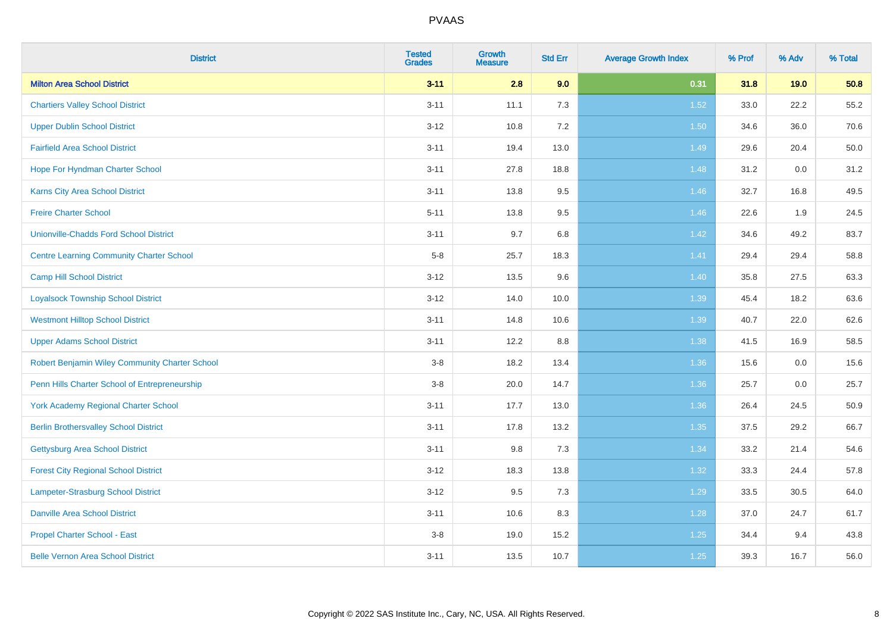| <b>District</b>                                 | <b>Tested</b><br><b>Grades</b> | <b>Growth</b><br><b>Measure</b> | <b>Std Err</b> | <b>Average Growth Index</b> | % Prof | % Adv | % Total |
|-------------------------------------------------|--------------------------------|---------------------------------|----------------|-----------------------------|--------|-------|---------|
| <b>Milton Area School District</b>              | $3 - 11$                       | 2.8                             | 9.0            | 0.31                        | 31.8   | 19.0  | 50.8    |
| <b>Chartiers Valley School District</b>         | $3 - 11$                       | 11.1                            | 7.3            | 1.52                        | 33.0   | 22.2  | 55.2    |
| <b>Upper Dublin School District</b>             | $3 - 12$                       | 10.8                            | 7.2            | 1.50                        | 34.6   | 36.0  | 70.6    |
| <b>Fairfield Area School District</b>           | $3 - 11$                       | 19.4                            | 13.0           | 1.49                        | 29.6   | 20.4  | 50.0    |
| Hope For Hyndman Charter School                 | $3 - 11$                       | 27.8                            | 18.8           | 1.48                        | 31.2   | 0.0   | 31.2    |
| Karns City Area School District                 | $3 - 11$                       | 13.8                            | $9.5\,$        | 1.46                        | 32.7   | 16.8  | 49.5    |
| <b>Freire Charter School</b>                    | $5 - 11$                       | 13.8                            | 9.5            | 1.46                        | 22.6   | 1.9   | 24.5    |
| <b>Unionville-Chadds Ford School District</b>   | $3 - 11$                       | 9.7                             | 6.8            | 1.42                        | 34.6   | 49.2  | 83.7    |
| <b>Centre Learning Community Charter School</b> | $5-8$                          | 25.7                            | 18.3           | 1.41                        | 29.4   | 29.4  | 58.8    |
| <b>Camp Hill School District</b>                | $3 - 12$                       | 13.5                            | 9.6            | 1.40                        | 35.8   | 27.5  | 63.3    |
| <b>Loyalsock Township School District</b>       | $3 - 12$                       | 14.0                            | 10.0           | 1.39                        | 45.4   | 18.2  | 63.6    |
| <b>Westmont Hilltop School District</b>         | $3 - 11$                       | 14.8                            | 10.6           | 1.39                        | 40.7   | 22.0  | 62.6    |
| <b>Upper Adams School District</b>              | $3 - 11$                       | 12.2                            | 8.8            | 1.38                        | 41.5   | 16.9  | 58.5    |
| Robert Benjamin Wiley Community Charter School  | $3-8$                          | 18.2                            | 13.4           | 1.36                        | 15.6   | 0.0   | 15.6    |
| Penn Hills Charter School of Entrepreneurship   | $3 - 8$                        | 20.0                            | 14.7           | 1.36                        | 25.7   | 0.0   | 25.7    |
| <b>York Academy Regional Charter School</b>     | $3 - 11$                       | 17.7                            | 13.0           | 1.36                        | 26.4   | 24.5  | 50.9    |
| <b>Berlin Brothersvalley School District</b>    | $3 - 11$                       | 17.8                            | 13.2           | 1.35                        | 37.5   | 29.2  | 66.7    |
| <b>Gettysburg Area School District</b>          | $3 - 11$                       | 9.8                             | 7.3            | 1.34                        | 33.2   | 21.4  | 54.6    |
| <b>Forest City Regional School District</b>     | $3 - 12$                       | 18.3                            | 13.8           | 1.32                        | 33.3   | 24.4  | 57.8    |
| Lampeter-Strasburg School District              | $3-12$                         | 9.5                             | 7.3            | 1.29                        | 33.5   | 30.5  | 64.0    |
| <b>Danville Area School District</b>            | $3 - 11$                       | 10.6                            | 8.3            | 1.28                        | 37.0   | 24.7  | 61.7    |
| <b>Propel Charter School - East</b>             | $3-8$                          | 19.0                            | 15.2           | $1.25$                      | 34.4   | 9.4   | 43.8    |
| <b>Belle Vernon Area School District</b>        | $3 - 11$                       | 13.5                            | 10.7           | $1.25$                      | 39.3   | 16.7  | 56.0    |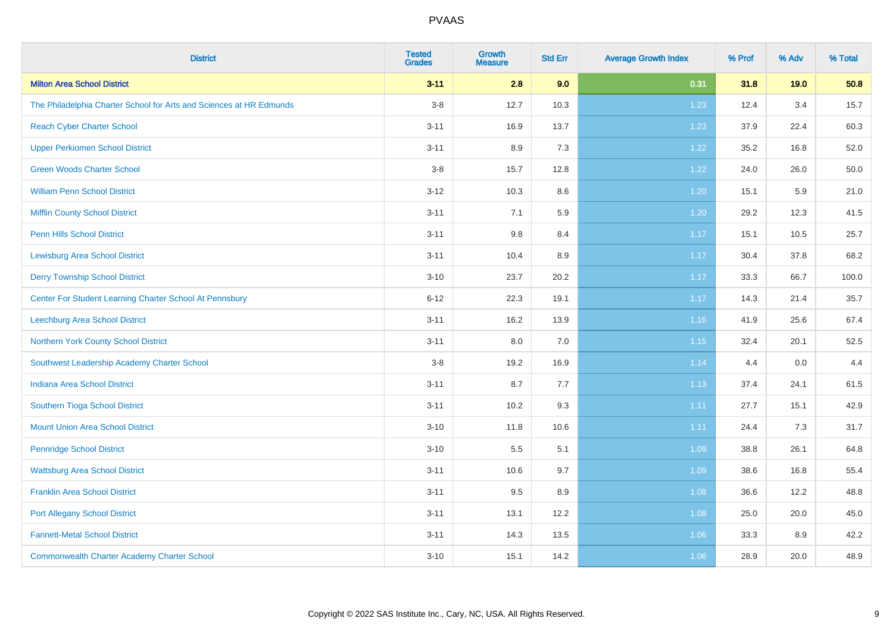| <b>District</b>                                                     | <b>Tested</b><br><b>Grades</b> | Growth<br><b>Measure</b> | <b>Std Err</b> | <b>Average Growth Index</b> | % Prof | % Adv | % Total |
|---------------------------------------------------------------------|--------------------------------|--------------------------|----------------|-----------------------------|--------|-------|---------|
| <b>Milton Area School District</b>                                  | $3 - 11$                       | 2.8                      | 9.0            | 0.31                        | 31.8   | 19.0  | 50.8    |
| The Philadelphia Charter School for Arts and Sciences at HR Edmunds | $3-8$                          | 12.7                     | 10.3           | 1.23                        | 12.4   | 3.4   | 15.7    |
| <b>Reach Cyber Charter School</b>                                   | $3 - 11$                       | 16.9                     | 13.7           | 1.23                        | 37.9   | 22.4  | 60.3    |
| <b>Upper Perkiomen School District</b>                              | $3 - 11$                       | 8.9                      | 7.3            | 1.22                        | 35.2   | 16.8  | 52.0    |
| <b>Green Woods Charter School</b>                                   | $3 - 8$                        | 15.7                     | 12.8           | 1.22                        | 24.0   | 26.0  | 50.0    |
| <b>William Penn School District</b>                                 | $3 - 12$                       | 10.3                     | 8.6            | 1.20                        | 15.1   | 5.9   | 21.0    |
| <b>Mifflin County School District</b>                               | $3 - 11$                       | 7.1                      | 5.9            | 1.20                        | 29.2   | 12.3  | 41.5    |
| <b>Penn Hills School District</b>                                   | $3 - 11$                       | $9.8\,$                  | 8.4            | 1.17                        | 15.1   | 10.5  | 25.7    |
| <b>Lewisburg Area School District</b>                               | $3 - 11$                       | 10.4                     | 8.9            | 1.17                        | 30.4   | 37.8  | 68.2    |
| <b>Derry Township School District</b>                               | $3 - 10$                       | 23.7                     | 20.2           | 1.17                        | 33.3   | 66.7  | 100.0   |
| Center For Student Learning Charter School At Pennsbury             | $6 - 12$                       | 22.3                     | 19.1           | 1.17                        | 14.3   | 21.4  | 35.7    |
| Leechburg Area School District                                      | $3 - 11$                       | 16.2                     | 13.9           | 1.16                        | 41.9   | 25.6  | 67.4    |
| Northern York County School District                                | $3 - 11$                       | 8.0                      | 7.0            | 1.15                        | 32.4   | 20.1  | 52.5    |
| Southwest Leadership Academy Charter School                         | $3 - 8$                        | 19.2                     | 16.9           | 1.14                        | 4.4    | 0.0   | 4.4     |
| <b>Indiana Area School District</b>                                 | $3 - 11$                       | 8.7                      | 7.7            | 1.13                        | 37.4   | 24.1  | 61.5    |
| Southern Tioga School District                                      | $3 - 11$                       | 10.2                     | 9.3            | 1.11                        | 27.7   | 15.1  | 42.9    |
| <b>Mount Union Area School District</b>                             | $3 - 10$                       | 11.8                     | 10.6           | 1.11                        | 24.4   | 7.3   | 31.7    |
| <b>Pennridge School District</b>                                    | $3 - 10$                       | 5.5                      | 5.1            | 1.09                        | 38.8   | 26.1  | 64.8    |
| <b>Wattsburg Area School District</b>                               | $3 - 11$                       | 10.6                     | 9.7            | 1.09                        | 38.6   | 16.8  | 55.4    |
| <b>Franklin Area School District</b>                                | $3 - 11$                       | 9.5                      | 8.9            | 1.08                        | 36.6   | 12.2  | 48.8    |
| <b>Port Allegany School District</b>                                | $3 - 11$                       | 13.1                     | 12.2           | 1.08                        | 25.0   | 20.0  | 45.0    |
| <b>Fannett-Metal School District</b>                                | $3 - 11$                       | 14.3                     | 13.5           | 1.06                        | 33.3   | 8.9   | 42.2    |
| <b>Commonwealth Charter Academy Charter School</b>                  | $3 - 10$                       | 15.1                     | 14.2           | 1.06                        | 28.9   | 20.0  | 48.9    |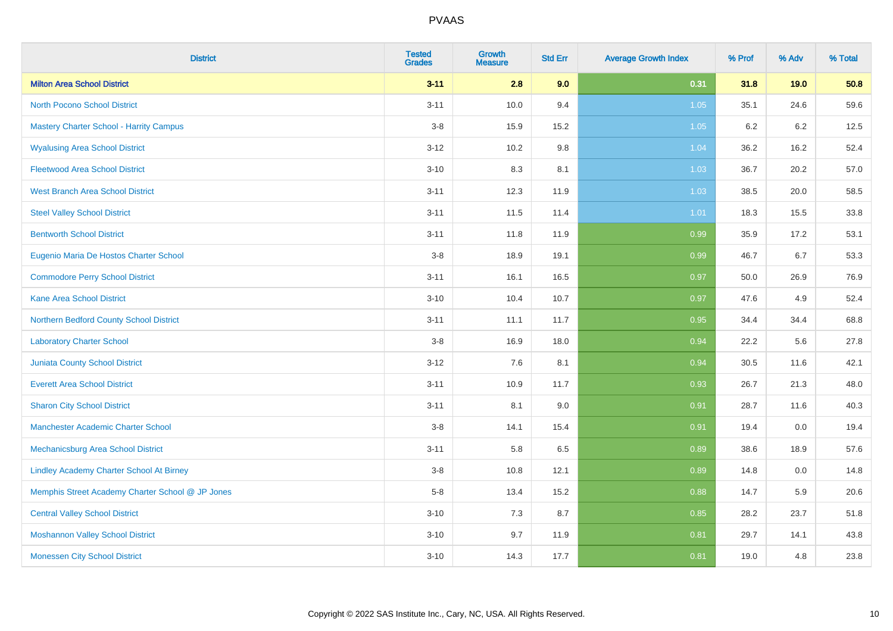| <b>District</b>                                  | <b>Tested</b><br><b>Grades</b> | Growth<br><b>Measure</b> | <b>Std Err</b> | <b>Average Growth Index</b> | % Prof | % Adv | % Total |
|--------------------------------------------------|--------------------------------|--------------------------|----------------|-----------------------------|--------|-------|---------|
| <b>Milton Area School District</b>               | $3 - 11$                       | 2.8                      | 9.0            | 0.31                        | 31.8   | 19.0  | 50.8    |
| <b>North Pocono School District</b>              | $3 - 11$                       | 10.0                     | 9.4            | 1.05                        | 35.1   | 24.6  | 59.6    |
| <b>Mastery Charter School - Harrity Campus</b>   | $3 - 8$                        | 15.9                     | 15.2           | 1.05                        | 6.2    | 6.2   | 12.5    |
| <b>Wyalusing Area School District</b>            | $3 - 12$                       | 10.2                     | 9.8            | 1.04                        | 36.2   | 16.2  | 52.4    |
| <b>Fleetwood Area School District</b>            | $3 - 10$                       | 8.3                      | 8.1            | 1.03                        | 36.7   | 20.2  | 57.0    |
| <b>West Branch Area School District</b>          | $3 - 11$                       | 12.3                     | 11.9           | 1.03                        | 38.5   | 20.0  | 58.5    |
| <b>Steel Valley School District</b>              | $3 - 11$                       | 11.5                     | 11.4           | 1.01                        | 18.3   | 15.5  | 33.8    |
| <b>Bentworth School District</b>                 | $3 - 11$                       | 11.8                     | 11.9           | 0.99                        | 35.9   | 17.2  | 53.1    |
| Eugenio Maria De Hostos Charter School           | $3-8$                          | 18.9                     | 19.1           | 0.99                        | 46.7   | 6.7   | 53.3    |
| <b>Commodore Perry School District</b>           | $3 - 11$                       | 16.1                     | 16.5           | 0.97                        | 50.0   | 26.9  | 76.9    |
| <b>Kane Area School District</b>                 | $3 - 10$                       | 10.4                     | 10.7           | 0.97                        | 47.6   | 4.9   | 52.4    |
| Northern Bedford County School District          | $3 - 11$                       | 11.1                     | 11.7           | 0.95                        | 34.4   | 34.4  | 68.8    |
| <b>Laboratory Charter School</b>                 | $3-8$                          | 16.9                     | 18.0           | 0.94                        | 22.2   | 5.6   | 27.8    |
| Juniata County School District                   | $3 - 12$                       | 7.6                      | 8.1            | 0.94                        | 30.5   | 11.6  | 42.1    |
| <b>Everett Area School District</b>              | $3 - 11$                       | 10.9                     | 11.7           | 0.93                        | 26.7   | 21.3  | 48.0    |
| <b>Sharon City School District</b>               | $3 - 11$                       | 8.1                      | 9.0            | 0.91                        | 28.7   | 11.6  | 40.3    |
| <b>Manchester Academic Charter School</b>        | $3-8$                          | 14.1                     | 15.4           | 0.91                        | 19.4   | 0.0   | 19.4    |
| <b>Mechanicsburg Area School District</b>        | $3 - 11$                       | 5.8                      | 6.5            | 0.89                        | 38.6   | 18.9  | 57.6    |
| <b>Lindley Academy Charter School At Birney</b>  | $3 - 8$                        | 10.8                     | 12.1           | 0.89                        | 14.8   | 0.0   | 14.8    |
| Memphis Street Academy Charter School @ JP Jones | $5-8$                          | 13.4                     | 15.2           | 0.88                        | 14.7   | 5.9   | 20.6    |
| <b>Central Valley School District</b>            | $3 - 10$                       | 7.3                      | 8.7            | 0.85                        | 28.2   | 23.7  | 51.8    |
| <b>Moshannon Valley School District</b>          | $3 - 10$                       | 9.7                      | 11.9           | 0.81                        | 29.7   | 14.1  | 43.8    |
| <b>Monessen City School District</b>             | $3 - 10$                       | 14.3                     | 17.7           | 0.81                        | 19.0   | 4.8   | 23.8    |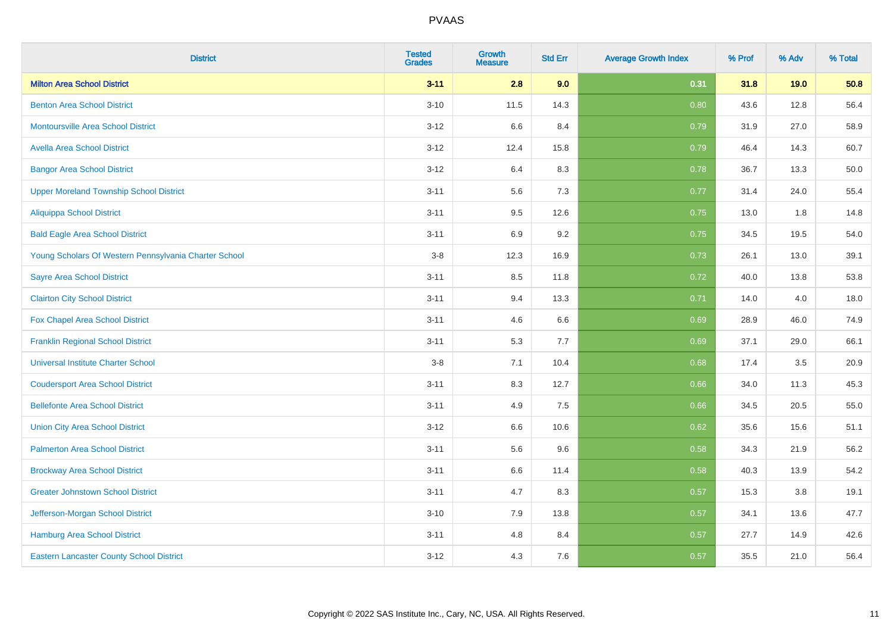| <b>District</b>                                       | <b>Tested</b><br><b>Grades</b> | Growth<br><b>Measure</b> | <b>Std Err</b> | <b>Average Growth Index</b> | % Prof | % Adv | % Total |
|-------------------------------------------------------|--------------------------------|--------------------------|----------------|-----------------------------|--------|-------|---------|
| <b>Milton Area School District</b>                    | $3 - 11$                       | 2.8                      | 9.0            | 0.31                        | 31.8   | 19.0  | 50.8    |
| <b>Benton Area School District</b>                    | $3 - 10$                       | 11.5                     | 14.3           | 0.80                        | 43.6   | 12.8  | 56.4    |
| <b>Montoursville Area School District</b>             | $3 - 12$                       | 6.6                      | 8.4            | 0.79                        | 31.9   | 27.0  | 58.9    |
| <b>Avella Area School District</b>                    | $3 - 12$                       | 12.4                     | 15.8           | 0.79                        | 46.4   | 14.3  | 60.7    |
| <b>Bangor Area School District</b>                    | $3 - 12$                       | 6.4                      | 8.3            | 0.78                        | 36.7   | 13.3  | 50.0    |
| <b>Upper Moreland Township School District</b>        | $3 - 11$                       | 5.6                      | 7.3            | 0.77                        | 31.4   | 24.0  | 55.4    |
| <b>Aliquippa School District</b>                      | $3 - 11$                       | 9.5                      | 12.6           | 0.75                        | 13.0   | 1.8   | 14.8    |
| <b>Bald Eagle Area School District</b>                | $3 - 11$                       | 6.9                      | 9.2            | 0.75                        | 34.5   | 19.5  | 54.0    |
| Young Scholars Of Western Pennsylvania Charter School | $3 - 8$                        | 12.3                     | 16.9           | 0.73                        | 26.1   | 13.0  | 39.1    |
| <b>Sayre Area School District</b>                     | $3 - 11$                       | 8.5                      | 11.8           | 0.72                        | 40.0   | 13.8  | 53.8    |
| <b>Clairton City School District</b>                  | $3 - 11$                       | 9.4                      | 13.3           | 0.71                        | 14.0   | 4.0   | 18.0    |
| Fox Chapel Area School District                       | $3 - 11$                       | 4.6                      | 6.6            | 0.69                        | 28.9   | 46.0  | 74.9    |
| <b>Franklin Regional School District</b>              | $3 - 11$                       | 5.3                      | 7.7            | 0.69                        | 37.1   | 29.0  | 66.1    |
| <b>Universal Institute Charter School</b>             | $3-8$                          | 7.1                      | 10.4           | 0.68                        | 17.4   | 3.5   | 20.9    |
| <b>Coudersport Area School District</b>               | $3 - 11$                       | 8.3                      | 12.7           | 0.66                        | 34.0   | 11.3  | 45.3    |
| <b>Bellefonte Area School District</b>                | $3 - 11$                       | 4.9                      | 7.5            | 0.66                        | 34.5   | 20.5  | 55.0    |
| <b>Union City Area School District</b>                | $3 - 12$                       | 6.6                      | 10.6           | 0.62                        | 35.6   | 15.6  | 51.1    |
| <b>Palmerton Area School District</b>                 | $3 - 11$                       | 5.6                      | 9.6            | 0.58                        | 34.3   | 21.9  | 56.2    |
| <b>Brockway Area School District</b>                  | $3 - 11$                       | 6.6                      | 11.4           | 0.58                        | 40.3   | 13.9  | 54.2    |
| <b>Greater Johnstown School District</b>              | $3 - 11$                       | 4.7                      | 8.3            | 0.57                        | 15.3   | 3.8   | 19.1    |
| Jefferson-Morgan School District                      | $3 - 10$                       | 7.9                      | 13.8           | 0.57                        | 34.1   | 13.6  | 47.7    |
| <b>Hamburg Area School District</b>                   | $3 - 11$                       | 4.8                      | 8.4            | 0.57                        | 27.7   | 14.9  | 42.6    |
| <b>Eastern Lancaster County School District</b>       | $3 - 12$                       | 4.3                      | 7.6            | 0.57                        | 35.5   | 21.0  | 56.4    |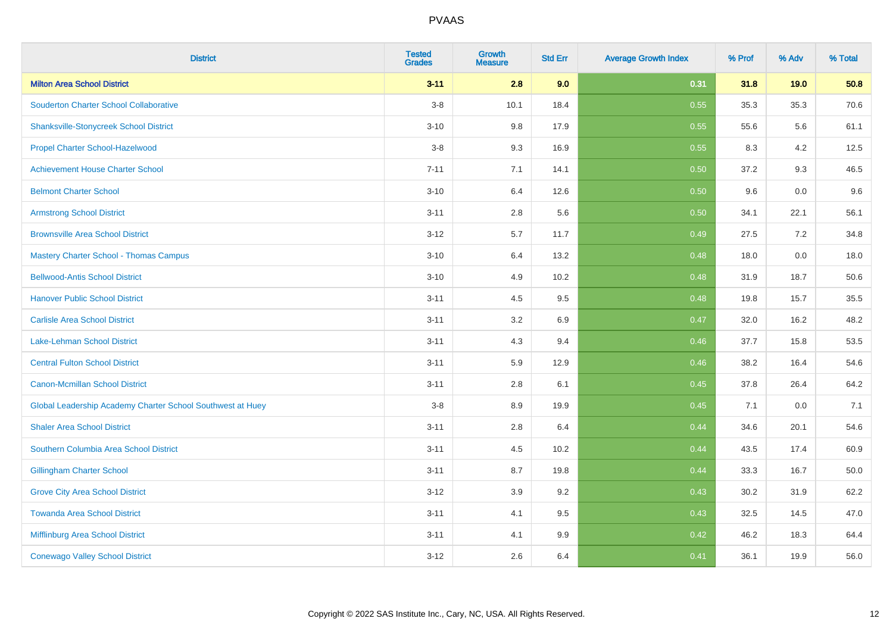| <b>District</b>                                            | <b>Tested</b><br><b>Grades</b> | <b>Growth</b><br><b>Measure</b> | <b>Std Err</b> | <b>Average Growth Index</b> | % Prof | % Adv | % Total |
|------------------------------------------------------------|--------------------------------|---------------------------------|----------------|-----------------------------|--------|-------|---------|
| <b>Milton Area School District</b>                         | $3 - 11$                       | 2.8                             | 9.0            | 0.31                        | 31.8   | 19.0  | 50.8    |
| <b>Souderton Charter School Collaborative</b>              | $3-8$                          | 10.1                            | 18.4           | 0.55                        | 35.3   | 35.3  | 70.6    |
| <b>Shanksville-Stonycreek School District</b>              | $3 - 10$                       | 9.8                             | 17.9           | 0.55                        | 55.6   | 5.6   | 61.1    |
| Propel Charter School-Hazelwood                            | $3-8$                          | 9.3                             | 16.9           | 0.55                        | 8.3    | 4.2   | 12.5    |
| <b>Achievement House Charter School</b>                    | $7 - 11$                       | 7.1                             | 14.1           | 0.50                        | 37.2   | 9.3   | 46.5    |
| <b>Belmont Charter School</b>                              | $3 - 10$                       | 6.4                             | 12.6           | 0.50                        | 9.6    | 0.0   | 9.6     |
| <b>Armstrong School District</b>                           | $3 - 11$                       | $2.8\,$                         | 5.6            | 0.50                        | 34.1   | 22.1  | 56.1    |
| <b>Brownsville Area School District</b>                    | $3 - 12$                       | 5.7                             | 11.7           | 0.49                        | 27.5   | 7.2   | 34.8    |
| <b>Mastery Charter School - Thomas Campus</b>              | $3 - 10$                       | 6.4                             | 13.2           | 0.48                        | 18.0   | 0.0   | 18.0    |
| <b>Bellwood-Antis School District</b>                      | $3 - 10$                       | 4.9                             | 10.2           | 0.48                        | 31.9   | 18.7  | 50.6    |
| <b>Hanover Public School District</b>                      | $3 - 11$                       | 4.5                             | 9.5            | 0.48                        | 19.8   | 15.7  | 35.5    |
| <b>Carlisle Area School District</b>                       | $3 - 11$                       | 3.2                             | 6.9            | 0.47                        | 32.0   | 16.2  | 48.2    |
| Lake-Lehman School District                                | $3 - 11$                       | 4.3                             | 9.4            | 0.46                        | 37.7   | 15.8  | 53.5    |
| <b>Central Fulton School District</b>                      | $3 - 11$                       | 5.9                             | 12.9           | 0.46                        | 38.2   | 16.4  | 54.6    |
| <b>Canon-Mcmillan School District</b>                      | $3 - 11$                       | 2.8                             | 6.1            | 0.45                        | 37.8   | 26.4  | 64.2    |
| Global Leadership Academy Charter School Southwest at Huey | $3-8$                          | 8.9                             | 19.9           | 0.45                        | 7.1    | 0.0   | 7.1     |
| <b>Shaler Area School District</b>                         | $3 - 11$                       | 2.8                             | 6.4            | 0.44                        | 34.6   | 20.1  | 54.6    |
| Southern Columbia Area School District                     | $3 - 11$                       | 4.5                             | 10.2           | 0.44                        | 43.5   | 17.4  | 60.9    |
| <b>Gillingham Charter School</b>                           | $3 - 11$                       | 8.7                             | 19.8           | 0.44                        | 33.3   | 16.7  | 50.0    |
| <b>Grove City Area School District</b>                     | $3 - 12$                       | 3.9                             | 9.2            | 0.43                        | 30.2   | 31.9  | 62.2    |
| <b>Towanda Area School District</b>                        | $3 - 11$                       | 4.1                             | 9.5            | 0.43                        | 32.5   | 14.5  | 47.0    |
| <b>Mifflinburg Area School District</b>                    | $3 - 11$                       | 4.1                             | 9.9            | 0.42                        | 46.2   | 18.3  | 64.4    |
| <b>Conewago Valley School District</b>                     | $3 - 12$                       | 2.6                             | 6.4            | 0.41                        | 36.1   | 19.9  | 56.0    |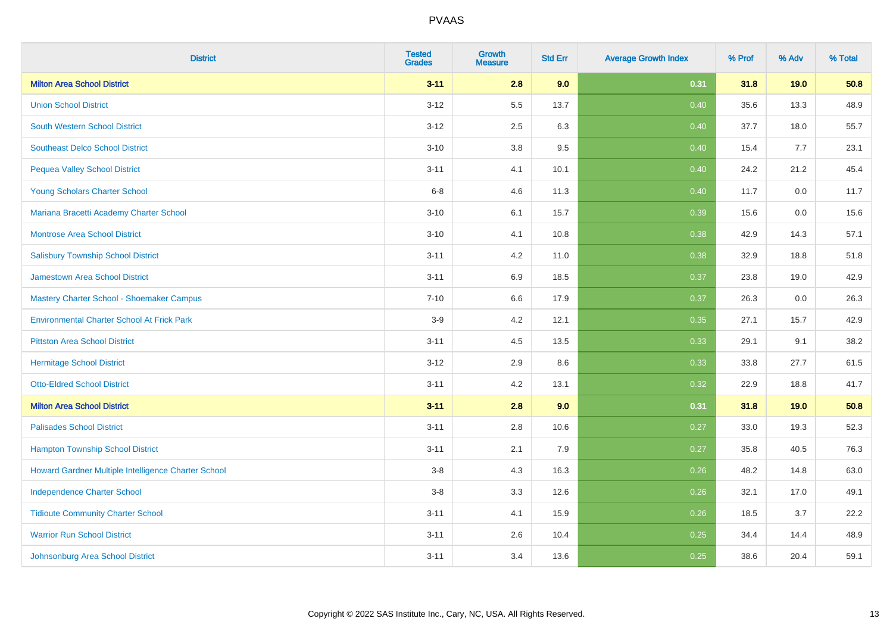| <b>District</b>                                     | <b>Tested</b><br><b>Grades</b> | <b>Growth</b><br><b>Measure</b> | <b>Std Err</b> | <b>Average Growth Index</b> | % Prof | % Adv | % Total |
|-----------------------------------------------------|--------------------------------|---------------------------------|----------------|-----------------------------|--------|-------|---------|
| <b>Milton Area School District</b>                  | $3 - 11$                       | 2.8                             | 9.0            | 0.31                        | 31.8   | 19.0  | 50.8    |
| <b>Union School District</b>                        | $3 - 12$                       | 5.5                             | 13.7           | 0.40                        | 35.6   | 13.3  | 48.9    |
| <b>South Western School District</b>                | $3 - 12$                       | 2.5                             | 6.3            | 0.40                        | 37.7   | 18.0  | 55.7    |
| <b>Southeast Delco School District</b>              | $3 - 10$                       | $3.8\,$                         | $9.5\,$        | 0.40                        | 15.4   | 7.7   | 23.1    |
| <b>Pequea Valley School District</b>                | $3 - 11$                       | 4.1                             | 10.1           | 0.40                        | 24.2   | 21.2  | 45.4    |
| Young Scholars Charter School                       | $6 - 8$                        | 4.6                             | 11.3           | 0.40                        | 11.7   | 0.0   | 11.7    |
| Mariana Bracetti Academy Charter School             | $3 - 10$                       | 6.1                             | 15.7           | 0.39                        | 15.6   | 0.0   | 15.6    |
| <b>Montrose Area School District</b>                | $3 - 10$                       | 4.1                             | 10.8           | 0.38                        | 42.9   | 14.3  | 57.1    |
| <b>Salisbury Township School District</b>           | $3 - 11$                       | 4.2                             | 11.0           | 0.38                        | 32.9   | 18.8  | 51.8    |
| Jamestown Area School District                      | $3 - 11$                       | 6.9                             | 18.5           | 0.37                        | 23.8   | 19.0  | 42.9    |
| Mastery Charter School - Shoemaker Campus           | $7 - 10$                       | 6.6                             | 17.9           | 0.37                        | 26.3   | 0.0   | 26.3    |
| <b>Environmental Charter School At Frick Park</b>   | $3-9$                          | 4.2                             | 12.1           | 0.35                        | 27.1   | 15.7  | 42.9    |
| <b>Pittston Area School District</b>                | $3 - 11$                       | 4.5                             | 13.5           | 0.33                        | 29.1   | 9.1   | 38.2    |
| <b>Hermitage School District</b>                    | $3 - 12$                       | 2.9                             | 8.6            | 0.33                        | 33.8   | 27.7  | 61.5    |
| <b>Otto-Eldred School District</b>                  | $3 - 11$                       | 4.2                             | 13.1           | 0.32                        | 22.9   | 18.8  | 41.7    |
| <b>Milton Area School District</b>                  | $3 - 11$                       | 2.8                             | 9.0            | 0.31                        | 31.8   | 19.0  | 50.8    |
| <b>Palisades School District</b>                    | $3 - 11$                       | 2.8                             | 10.6           | 0.27                        | 33.0   | 19.3  | 52.3    |
| <b>Hampton Township School District</b>             | $3 - 11$                       | 2.1                             | 7.9            | 0.27                        | 35.8   | 40.5  | 76.3    |
| Howard Gardner Multiple Intelligence Charter School | $3-8$                          | 4.3                             | 16.3           | 0.26                        | 48.2   | 14.8  | 63.0    |
| <b>Independence Charter School</b>                  | $3-8$                          | 3.3                             | 12.6           | 0.26                        | 32.1   | 17.0  | 49.1    |
| <b>Tidioute Community Charter School</b>            | $3 - 11$                       | 4.1                             | 15.9           | 0.26                        | 18.5   | 3.7   | 22.2    |
| <b>Warrior Run School District</b>                  | $3 - 11$                       | 2.6                             | 10.4           | 0.25                        | 34.4   | 14.4  | 48.9    |
| Johnsonburg Area School District                    | $3 - 11$                       | 3.4                             | 13.6           | 0.25                        | 38.6   | 20.4  | 59.1    |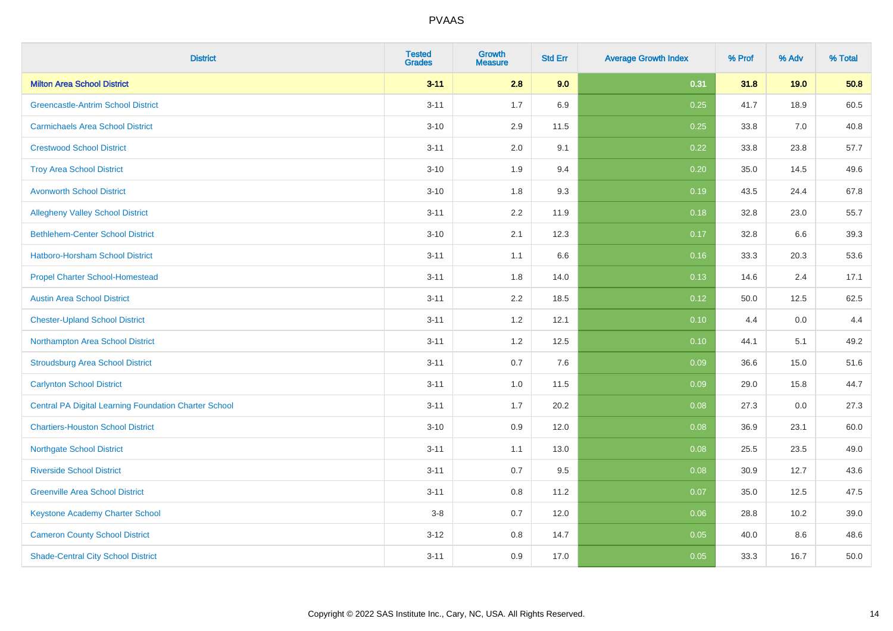| <b>District</b>                                              | <b>Tested</b><br><b>Grades</b> | Growth<br><b>Measure</b> | <b>Std Err</b> | <b>Average Growth Index</b> | % Prof | % Adv | % Total |
|--------------------------------------------------------------|--------------------------------|--------------------------|----------------|-----------------------------|--------|-------|---------|
| <b>Milton Area School District</b>                           | $3 - 11$                       | 2.8                      | 9.0            | 0.31                        | 31.8   | 19.0  | 50.8    |
| <b>Greencastle-Antrim School District</b>                    | $3 - 11$                       | 1.7                      | 6.9            | 0.25                        | 41.7   | 18.9  | 60.5    |
| <b>Carmichaels Area School District</b>                      | $3 - 10$                       | 2.9                      | 11.5           | 0.25                        | 33.8   | 7.0   | 40.8    |
| <b>Crestwood School District</b>                             | $3 - 11$                       | 2.0                      | 9.1            | 0.22                        | 33.8   | 23.8  | 57.7    |
| <b>Troy Area School District</b>                             | $3 - 10$                       | 1.9                      | 9.4            | 0.20                        | 35.0   | 14.5  | 49.6    |
| <b>Avonworth School District</b>                             | $3 - 10$                       | 1.8                      | 9.3            | 0.19                        | 43.5   | 24.4  | 67.8    |
| <b>Allegheny Valley School District</b>                      | $3 - 11$                       | 2.2                      | 11.9           | 0.18                        | 32.8   | 23.0  | 55.7    |
| <b>Bethlehem-Center School District</b>                      | $3 - 10$                       | 2.1                      | 12.3           | 0.17                        | 32.8   | 6.6   | 39.3    |
| Hatboro-Horsham School District                              | $3 - 11$                       | 1.1                      | 6.6            | 0.16                        | 33.3   | 20.3  | 53.6    |
| <b>Propel Charter School-Homestead</b>                       | $3 - 11$                       | 1.8                      | 14.0           | 0.13                        | 14.6   | 2.4   | 17.1    |
| <b>Austin Area School District</b>                           | $3 - 11$                       | 2.2                      | 18.5           | 0.12                        | 50.0   | 12.5  | 62.5    |
| <b>Chester-Upland School District</b>                        | $3 - 11$                       | 1.2                      | 12.1           | 0.10                        | 4.4    | 0.0   | 4.4     |
| Northampton Area School District                             | $3 - 11$                       | 1.2                      | 12.5           | 0.10                        | 44.1   | 5.1   | 49.2    |
| <b>Stroudsburg Area School District</b>                      | $3 - 11$                       | 0.7                      | 7.6            | 0.09                        | 36.6   | 15.0  | 51.6    |
| <b>Carlynton School District</b>                             | $3 - 11$                       | $1.0$                    | 11.5           | 0.09                        | 29.0   | 15.8  | 44.7    |
| <b>Central PA Digital Learning Foundation Charter School</b> | $3 - 11$                       | 1.7                      | 20.2           | 0.08                        | 27.3   | 0.0   | 27.3    |
| <b>Chartiers-Houston School District</b>                     | $3 - 10$                       | 0.9                      | 12.0           | 0.08                        | 36.9   | 23.1  | 60.0    |
| <b>Northgate School District</b>                             | $3 - 11$                       | 1.1                      | 13.0           | 0.08                        | 25.5   | 23.5  | 49.0    |
| <b>Riverside School District</b>                             | $3 - 11$                       | 0.7                      | 9.5            | 0.08                        | 30.9   | 12.7  | 43.6    |
| <b>Greenville Area School District</b>                       | $3 - 11$                       | $0.8\,$                  | 11.2           | 0.07                        | 35.0   | 12.5  | 47.5    |
| <b>Keystone Academy Charter School</b>                       | $3-8$                          | 0.7                      | 12.0           | 0.06                        | 28.8   | 10.2  | 39.0    |
| <b>Cameron County School District</b>                        | $3 - 12$                       | $0.8\,$                  | 14.7           | 0.05                        | 40.0   | 8.6   | 48.6    |
| <b>Shade-Central City School District</b>                    | $3 - 11$                       | 0.9                      | 17.0           | 0.05                        | 33.3   | 16.7  | 50.0    |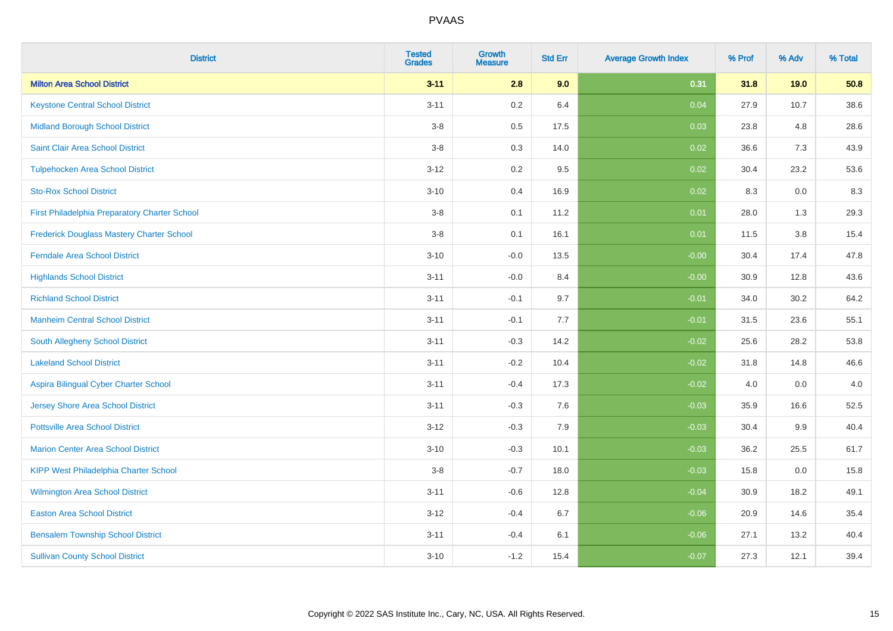| <b>District</b>                                  | <b>Tested</b><br><b>Grades</b> | <b>Growth</b><br>Measure | <b>Std Err</b> | <b>Average Growth Index</b> | % Prof | % Adv | % Total |
|--------------------------------------------------|--------------------------------|--------------------------|----------------|-----------------------------|--------|-------|---------|
| <b>Milton Area School District</b>               | $3 - 11$                       | 2.8                      | 9.0            | 0.31                        | 31.8   | 19.0  | 50.8    |
| <b>Keystone Central School District</b>          | $3 - 11$                       | 0.2                      | 6.4            | 0.04                        | 27.9   | 10.7  | 38.6    |
| <b>Midland Borough School District</b>           | $3-8$                          | 0.5                      | 17.5           | 0.03                        | 23.8   | 4.8   | 28.6    |
| Saint Clair Area School District                 | $3-8$                          | $0.3\,$                  | 14.0           | 0.02                        | 36.6   | 7.3   | 43.9    |
| <b>Tulpehocken Area School District</b>          | $3 - 12$                       | $0.2\,$                  | 9.5            | 0.02                        | 30.4   | 23.2  | 53.6    |
| <b>Sto-Rox School District</b>                   | $3 - 10$                       | 0.4                      | 16.9           | 0.02                        | 8.3    | 0.0   | 8.3     |
| First Philadelphia Preparatory Charter School    | $3-8$                          | 0.1                      | 11.2           | 0.01                        | 28.0   | 1.3   | 29.3    |
| <b>Frederick Douglass Mastery Charter School</b> | $3-8$                          | 0.1                      | 16.1           | 0.01                        | 11.5   | 3.8   | 15.4    |
| <b>Ferndale Area School District</b>             | $3 - 10$                       | $-0.0$                   | 13.5           | $-0.00$                     | 30.4   | 17.4  | 47.8    |
| <b>Highlands School District</b>                 | $3 - 11$                       | $-0.0$                   | 8.4            | $-0.00$                     | 30.9   | 12.8  | 43.6    |
| <b>Richland School District</b>                  | $3 - 11$                       | $-0.1$                   | 9.7            | $-0.01$                     | 34.0   | 30.2  | 64.2    |
| <b>Manheim Central School District</b>           | $3 - 11$                       | $-0.1$                   | 7.7            | $-0.01$                     | 31.5   | 23.6  | 55.1    |
| South Allegheny School District                  | $3 - 11$                       | $-0.3$                   | 14.2           | $-0.02$                     | 25.6   | 28.2  | 53.8    |
| <b>Lakeland School District</b>                  | $3 - 11$                       | $-0.2$                   | 10.4           | $-0.02$                     | 31.8   | 14.8  | 46.6    |
| Aspira Bilingual Cyber Charter School            | $3 - 11$                       | $-0.4$                   | 17.3           | $-0.02$                     | 4.0    | 0.0   | 4.0     |
| Jersey Shore Area School District                | $3 - 11$                       | $-0.3$                   | 7.6            | $-0.03$                     | 35.9   | 16.6  | 52.5    |
| <b>Pottsville Area School District</b>           | $3 - 12$                       | $-0.3$                   | 7.9            | $-0.03$                     | 30.4   | 9.9   | 40.4    |
| <b>Marion Center Area School District</b>        | $3 - 10$                       | $-0.3$                   | 10.1           | $-0.03$                     | 36.2   | 25.5  | 61.7    |
| <b>KIPP West Philadelphia Charter School</b>     | $3-8$                          | $-0.7$                   | 18.0           | $-0.03$                     | 15.8   | 0.0   | 15.8    |
| Wilmington Area School District                  | $3 - 11$                       | $-0.6$                   | 12.8           | $-0.04$                     | 30.9   | 18.2  | 49.1    |
| <b>Easton Area School District</b>               | $3 - 12$                       | $-0.4$                   | 6.7            | $-0.06$                     | 20.9   | 14.6  | 35.4    |
| <b>Bensalem Township School District</b>         | $3 - 11$                       | $-0.4$                   | 6.1            | $-0.06$                     | 27.1   | 13.2  | 40.4    |
| <b>Sullivan County School District</b>           | $3 - 10$                       | $-1.2$                   | 15.4           | $-0.07$                     | 27.3   | 12.1  | 39.4    |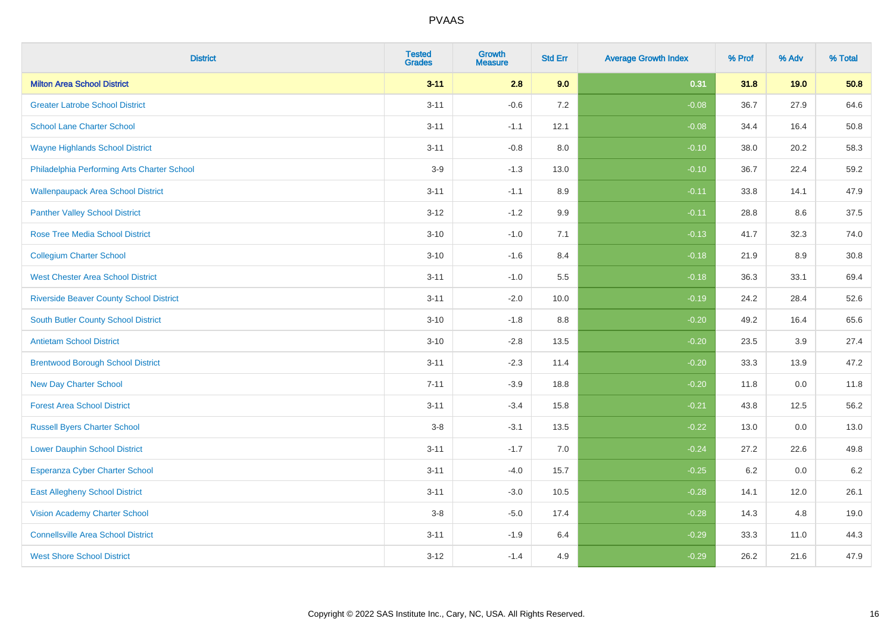| <b>District</b>                                | <b>Tested</b><br><b>Grades</b> | Growth<br><b>Measure</b> | <b>Std Err</b> | <b>Average Growth Index</b> | % Prof | % Adv | % Total |
|------------------------------------------------|--------------------------------|--------------------------|----------------|-----------------------------|--------|-------|---------|
| <b>Milton Area School District</b>             | $3 - 11$                       | 2.8                      | 9.0            | 0.31                        | 31.8   | 19.0  | 50.8    |
| <b>Greater Latrobe School District</b>         | $3 - 11$                       | $-0.6$                   | 7.2            | $-0.08$                     | 36.7   | 27.9  | 64.6    |
| <b>School Lane Charter School</b>              | $3 - 11$                       | $-1.1$                   | 12.1           | $-0.08$                     | 34.4   | 16.4  | 50.8    |
| <b>Wayne Highlands School District</b>         | $3 - 11$                       | $-0.8$                   | 8.0            | $-0.10$                     | 38.0   | 20.2  | 58.3    |
| Philadelphia Performing Arts Charter School    | $3-9$                          | $-1.3$                   | 13.0           | $-0.10$                     | 36.7   | 22.4  | 59.2    |
| <b>Wallenpaupack Area School District</b>      | $3 - 11$                       | $-1.1$                   | 8.9            | $-0.11$                     | 33.8   | 14.1  | 47.9    |
| <b>Panther Valley School District</b>          | $3 - 12$                       | $-1.2$                   | 9.9            | $-0.11$                     | 28.8   | 8.6   | 37.5    |
| <b>Rose Tree Media School District</b>         | $3 - 10$                       | $-1.0$                   | 7.1            | $-0.13$                     | 41.7   | 32.3  | 74.0    |
| <b>Collegium Charter School</b>                | $3 - 10$                       | $-1.6$                   | 8.4            | $-0.18$                     | 21.9   | 8.9   | 30.8    |
| <b>West Chester Area School District</b>       | $3 - 11$                       | $-1.0$                   | 5.5            | $-0.18$                     | 36.3   | 33.1  | 69.4    |
| <b>Riverside Beaver County School District</b> | $3 - 11$                       | $-2.0$                   | 10.0           | $-0.19$                     | 24.2   | 28.4  | 52.6    |
| South Butler County School District            | $3 - 10$                       | $-1.8$                   | 8.8            | $-0.20$                     | 49.2   | 16.4  | 65.6    |
| <b>Antietam School District</b>                | $3 - 10$                       | $-2.8$                   | 13.5           | $-0.20$                     | 23.5   | 3.9   | 27.4    |
| <b>Brentwood Borough School District</b>       | $3 - 11$                       | $-2.3$                   | 11.4           | $-0.20$                     | 33.3   | 13.9  | 47.2    |
| <b>New Day Charter School</b>                  | $7 - 11$                       | $-3.9$                   | 18.8           | $-0.20$                     | 11.8   | 0.0   | 11.8    |
| <b>Forest Area School District</b>             | $3 - 11$                       | $-3.4$                   | 15.8           | $-0.21$                     | 43.8   | 12.5  | 56.2    |
| <b>Russell Byers Charter School</b>            | $3-8$                          | $-3.1$                   | 13.5           | $-0.22$                     | 13.0   | 0.0   | 13.0    |
| <b>Lower Dauphin School District</b>           | $3 - 11$                       | $-1.7$                   | 7.0            | $-0.24$                     | 27.2   | 22.6  | 49.8    |
| <b>Esperanza Cyber Charter School</b>          | $3 - 11$                       | $-4.0$                   | 15.7           | $-0.25$                     | 6.2    | 0.0   | $6.2\,$ |
| <b>East Allegheny School District</b>          | $3 - 11$                       | $-3.0$                   | 10.5           | $-0.28$                     | 14.1   | 12.0  | 26.1    |
| <b>Vision Academy Charter School</b>           | $3-8$                          | $-5.0$                   | 17.4           | $-0.28$                     | 14.3   | 4.8   | 19.0    |
| <b>Connellsville Area School District</b>      | $3 - 11$                       | $-1.9$                   | 6.4            | $-0.29$                     | 33.3   | 11.0  | 44.3    |
| <b>West Shore School District</b>              | $3 - 12$                       | $-1.4$                   | 4.9            | $-0.29$                     | 26.2   | 21.6  | 47.9    |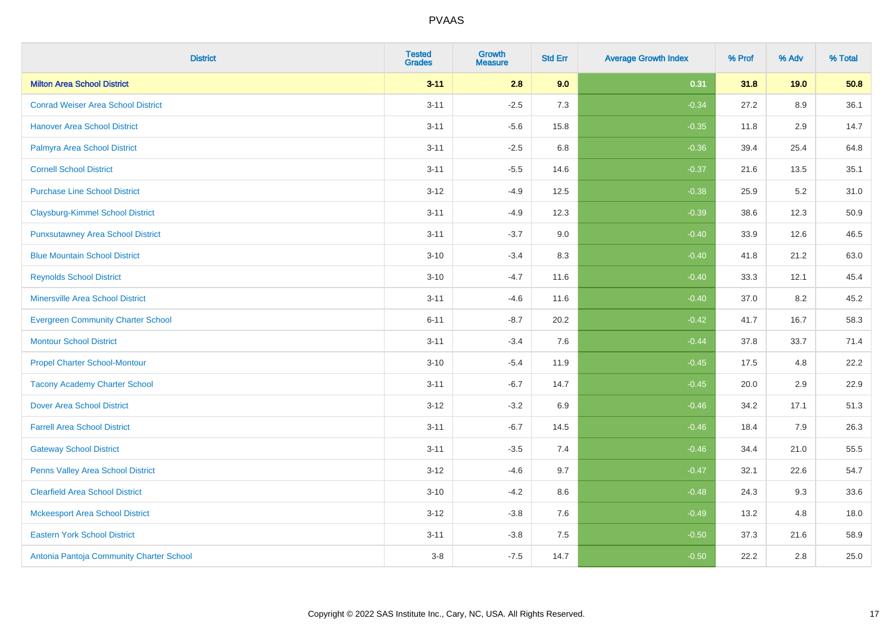| <b>District</b>                           | <b>Tested</b><br><b>Grades</b> | <b>Growth</b><br>Measure | <b>Std Err</b> | <b>Average Growth Index</b> | % Prof | % Adv   | % Total |
|-------------------------------------------|--------------------------------|--------------------------|----------------|-----------------------------|--------|---------|---------|
| <b>Milton Area School District</b>        | $3 - 11$                       | 2.8                      | 9.0            | 0.31                        | 31.8   | 19.0    | 50.8    |
| <b>Conrad Weiser Area School District</b> | $3 - 11$                       | $-2.5$                   | 7.3            | $-0.34$                     | 27.2   | 8.9     | 36.1    |
| <b>Hanover Area School District</b>       | $3 - 11$                       | $-5.6$                   | 15.8           | $-0.35$                     | 11.8   | 2.9     | 14.7    |
| Palmyra Area School District              | $3 - 11$                       | $-2.5$                   | 6.8            | $-0.36$                     | 39.4   | 25.4    | 64.8    |
| <b>Cornell School District</b>            | $3 - 11$                       | $-5.5$                   | 14.6           | $-0.37$                     | 21.6   | 13.5    | 35.1    |
| <b>Purchase Line School District</b>      | $3 - 12$                       | $-4.9$                   | 12.5           | $-0.38$                     | 25.9   | 5.2     | 31.0    |
| <b>Claysburg-Kimmel School District</b>   | $3 - 11$                       | $-4.9$                   | 12.3           | $-0.39$                     | 38.6   | 12.3    | 50.9    |
| <b>Punxsutawney Area School District</b>  | $3 - 11$                       | $-3.7$                   | 9.0            | $-0.40$                     | 33.9   | 12.6    | 46.5    |
| <b>Blue Mountain School District</b>      | $3 - 10$                       | $-3.4$                   | 8.3            | $-0.40$                     | 41.8   | 21.2    | 63.0    |
| <b>Reynolds School District</b>           | $3 - 10$                       | $-4.7$                   | 11.6           | $-0.40$                     | 33.3   | 12.1    | 45.4    |
| <b>Minersville Area School District</b>   | $3 - 11$                       | $-4.6$                   | 11.6           | $-0.40$                     | 37.0   | 8.2     | 45.2    |
| <b>Evergreen Community Charter School</b> | $6 - 11$                       | $-8.7$                   | 20.2           | $-0.42$                     | 41.7   | 16.7    | 58.3    |
| <b>Montour School District</b>            | $3 - 11$                       | $-3.4$                   | 7.6            | $-0.44$                     | 37.8   | 33.7    | 71.4    |
| <b>Propel Charter School-Montour</b>      | $3 - 10$                       | $-5.4$                   | 11.9           | $-0.45$                     | 17.5   | 4.8     | 22.2    |
| <b>Tacony Academy Charter School</b>      | $3 - 11$                       | $-6.7$                   | 14.7           | $-0.45$                     | 20.0   | 2.9     | 22.9    |
| <b>Dover Area School District</b>         | $3 - 12$                       | $-3.2$                   | 6.9            | $-0.46$                     | 34.2   | 17.1    | 51.3    |
| <b>Farrell Area School District</b>       | $3 - 11$                       | $-6.7$                   | 14.5           | $-0.46$                     | 18.4   | 7.9     | 26.3    |
| <b>Gateway School District</b>            | $3 - 11$                       | $-3.5$                   | 7.4            | $-0.46$                     | 34.4   | 21.0    | 55.5    |
| Penns Valley Area School District         | $3 - 12$                       | $-4.6$                   | 9.7            | $-0.47$                     | 32.1   | 22.6    | 54.7    |
| <b>Clearfield Area School District</b>    | $3 - 10$                       | $-4.2$                   | 8.6            | $-0.48$                     | 24.3   | 9.3     | 33.6    |
| <b>Mckeesport Area School District</b>    | $3-12$                         | $-3.8$                   | 7.6            | $-0.49$                     | 13.2   | 4.8     | 18.0    |
| <b>Eastern York School District</b>       | $3 - 11$                       | $-3.8$                   | 7.5            | $-0.50$                     | 37.3   | 21.6    | 58.9    |
| Antonia Pantoja Community Charter School  | $3-8$                          | $-7.5$                   | 14.7           | $-0.50$                     | 22.2   | $2.8\,$ | 25.0    |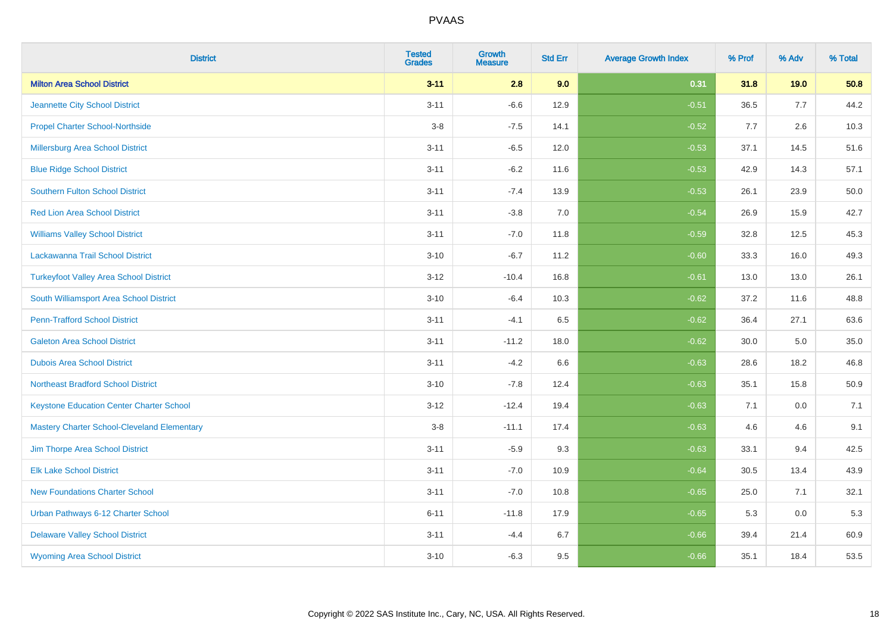| <b>District</b>                                    | <b>Tested</b><br><b>Grades</b> | Growth<br><b>Measure</b> | <b>Std Err</b> | <b>Average Growth Index</b> | % Prof | % Adv | % Total |
|----------------------------------------------------|--------------------------------|--------------------------|----------------|-----------------------------|--------|-------|---------|
| <b>Milton Area School District</b>                 | $3 - 11$                       | 2.8                      | 9.0            | 0.31                        | 31.8   | 19.0  | 50.8    |
| Jeannette City School District                     | $3 - 11$                       | $-6.6$                   | 12.9           | $-0.51$                     | 36.5   | 7.7   | 44.2    |
| <b>Propel Charter School-Northside</b>             | $3-8$                          | $-7.5$                   | 14.1           | $-0.52$                     | 7.7    | 2.6   | 10.3    |
| Millersburg Area School District                   | $3 - 11$                       | $-6.5$                   | 12.0           | $-0.53$                     | 37.1   | 14.5  | 51.6    |
| <b>Blue Ridge School District</b>                  | $3 - 11$                       | $-6.2$                   | 11.6           | $-0.53$                     | 42.9   | 14.3  | 57.1    |
| Southern Fulton School District                    | $3 - 11$                       | $-7.4$                   | 13.9           | $-0.53$                     | 26.1   | 23.9  | 50.0    |
| <b>Red Lion Area School District</b>               | $3 - 11$                       | $-3.8$                   | 7.0            | $-0.54$                     | 26.9   | 15.9  | 42.7    |
| <b>Williams Valley School District</b>             | $3 - 11$                       | $-7.0$                   | 11.8           | $-0.59$                     | 32.8   | 12.5  | 45.3    |
| Lackawanna Trail School District                   | $3 - 10$                       | $-6.7$                   | 11.2           | $-0.60$                     | 33.3   | 16.0  | 49.3    |
| <b>Turkeyfoot Valley Area School District</b>      | $3 - 12$                       | $-10.4$                  | 16.8           | $-0.61$                     | 13.0   | 13.0  | 26.1    |
| South Williamsport Area School District            | $3 - 10$                       | $-6.4$                   | 10.3           | $-0.62$                     | 37.2   | 11.6  | 48.8    |
| <b>Penn-Trafford School District</b>               | $3 - 11$                       | $-4.1$                   | 6.5            | $-0.62$                     | 36.4   | 27.1  | 63.6    |
| <b>Galeton Area School District</b>                | $3 - 11$                       | $-11.2$                  | 18.0           | $-0.62$                     | 30.0   | 5.0   | 35.0    |
| <b>Dubois Area School District</b>                 | $3 - 11$                       | $-4.2$                   | 6.6            | $-0.63$                     | 28.6   | 18.2  | 46.8    |
| <b>Northeast Bradford School District</b>          | $3 - 10$                       | $-7.8$                   | 12.4           | $-0.63$                     | 35.1   | 15.8  | 50.9    |
| <b>Keystone Education Center Charter School</b>    | $3 - 12$                       | $-12.4$                  | 19.4           | $-0.63$                     | 7.1    | 0.0   | 7.1     |
| <b>Mastery Charter School-Cleveland Elementary</b> | $3-8$                          | $-11.1$                  | 17.4           | $-0.63$                     | 4.6    | 4.6   | 9.1     |
| Jim Thorpe Area School District                    | $3 - 11$                       | $-5.9$                   | 9.3            | $-0.63$                     | 33.1   | 9.4   | 42.5    |
| <b>Elk Lake School District</b>                    | $3 - 11$                       | $-7.0$                   | 10.9           | $-0.64$                     | 30.5   | 13.4  | 43.9    |
| <b>New Foundations Charter School</b>              | $3 - 11$                       | $-7.0$                   | 10.8           | $-0.65$                     | 25.0   | 7.1   | 32.1    |
| Urban Pathways 6-12 Charter School                 | $6 - 11$                       | $-11.8$                  | 17.9           | $-0.65$                     | 5.3    | 0.0   | 5.3     |
| <b>Delaware Valley School District</b>             | $3 - 11$                       | $-4.4$                   | 6.7            | $-0.66$                     | 39.4   | 21.4  | 60.9    |
| <b>Wyoming Area School District</b>                | $3 - 10$                       | $-6.3$                   | 9.5            | $-0.66$                     | 35.1   | 18.4  | 53.5    |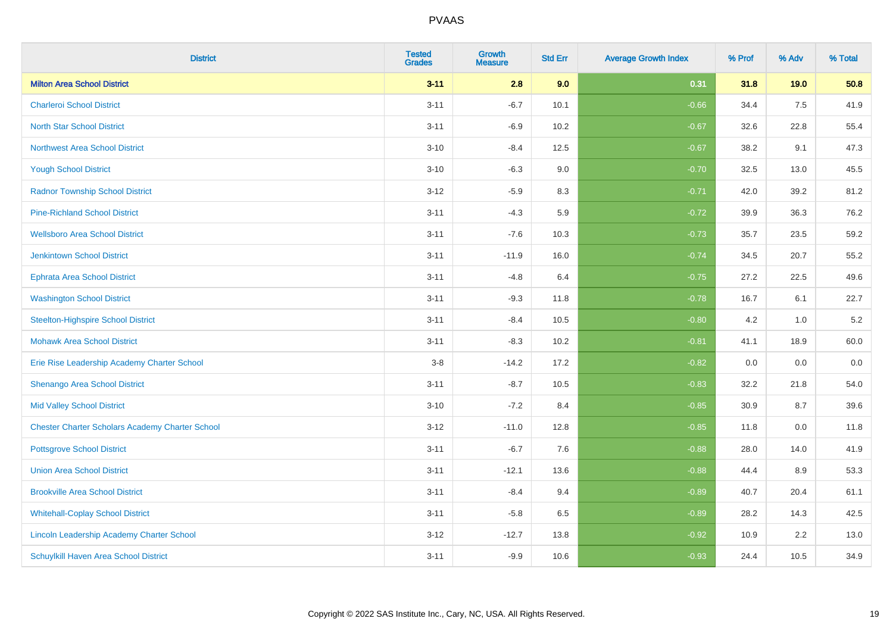| <b>District</b>                                        | <b>Tested</b><br><b>Grades</b> | <b>Growth</b><br>Measure | <b>Std Err</b> | <b>Average Growth Index</b> | % Prof | % Adv | % Total |
|--------------------------------------------------------|--------------------------------|--------------------------|----------------|-----------------------------|--------|-------|---------|
| <b>Milton Area School District</b>                     | $3 - 11$                       | 2.8                      | 9.0            | 0.31                        | 31.8   | 19.0  | 50.8    |
| <b>Charleroi School District</b>                       | $3 - 11$                       | $-6.7$                   | 10.1           | $-0.66$                     | 34.4   | 7.5   | 41.9    |
| <b>North Star School District</b>                      | $3 - 11$                       | $-6.9$                   | 10.2           | $-0.67$                     | 32.6   | 22.8  | 55.4    |
| <b>Northwest Area School District</b>                  | $3 - 10$                       | $-8.4$                   | 12.5           | $-0.67$                     | 38.2   | 9.1   | 47.3    |
| <b>Yough School District</b>                           | $3 - 10$                       | $-6.3$                   | 9.0            | $-0.70$                     | 32.5   | 13.0  | 45.5    |
| <b>Radnor Township School District</b>                 | $3 - 12$                       | $-5.9$                   | 8.3            | $-0.71$                     | 42.0   | 39.2  | 81.2    |
| <b>Pine-Richland School District</b>                   | $3 - 11$                       | $-4.3$                   | 5.9            | $-0.72$                     | 39.9   | 36.3  | 76.2    |
| <b>Wellsboro Area School District</b>                  | $3 - 11$                       | $-7.6$                   | 10.3           | $-0.73$                     | 35.7   | 23.5  | 59.2    |
| <b>Jenkintown School District</b>                      | $3 - 11$                       | $-11.9$                  | 16.0           | $-0.74$                     | 34.5   | 20.7  | 55.2    |
| <b>Ephrata Area School District</b>                    | $3 - 11$                       | $-4.8$                   | 6.4            | $-0.75$                     | 27.2   | 22.5  | 49.6    |
| <b>Washington School District</b>                      | $3 - 11$                       | $-9.3$                   | 11.8           | $-0.78$                     | 16.7   | 6.1   | 22.7    |
| <b>Steelton-Highspire School District</b>              | $3 - 11$                       | $-8.4$                   | 10.5           | $-0.80$                     | 4.2    | 1.0   | $5.2\,$ |
| <b>Mohawk Area School District</b>                     | $3 - 11$                       | $-8.3$                   | 10.2           | $-0.81$                     | 41.1   | 18.9  | 60.0    |
| Erie Rise Leadership Academy Charter School            | $3-8$                          | $-14.2$                  | 17.2           | $-0.82$                     | 0.0    | 0.0   | 0.0     |
| Shenango Area School District                          | $3 - 11$                       | $-8.7$                   | 10.5           | $-0.83$                     | 32.2   | 21.8  | 54.0    |
| <b>Mid Valley School District</b>                      | $3 - 10$                       | $-7.2$                   | 8.4            | $-0.85$                     | 30.9   | 8.7   | 39.6    |
| <b>Chester Charter Scholars Academy Charter School</b> | $3 - 12$                       | $-11.0$                  | 12.8           | $-0.85$                     | 11.8   | 0.0   | 11.8    |
| <b>Pottsgrove School District</b>                      | $3 - 11$                       | $-6.7$                   | 7.6            | $-0.88$                     | 28.0   | 14.0  | 41.9    |
| <b>Union Area School District</b>                      | $3 - 11$                       | $-12.1$                  | 13.6           | $-0.88$                     | 44.4   | 8.9   | 53.3    |
| <b>Brookville Area School District</b>                 | $3 - 11$                       | $-8.4$                   | 9.4            | $-0.89$                     | 40.7   | 20.4  | 61.1    |
| <b>Whitehall-Coplay School District</b>                | $3 - 11$                       | $-5.8$                   | 6.5            | $-0.89$                     | 28.2   | 14.3  | 42.5    |
| Lincoln Leadership Academy Charter School              | $3 - 12$                       | $-12.7$                  | 13.8           | $-0.92$                     | 10.9   | 2.2   | 13.0    |
| Schuylkill Haven Area School District                  | $3 - 11$                       | $-9.9$                   | 10.6           | $-0.93$                     | 24.4   | 10.5  | 34.9    |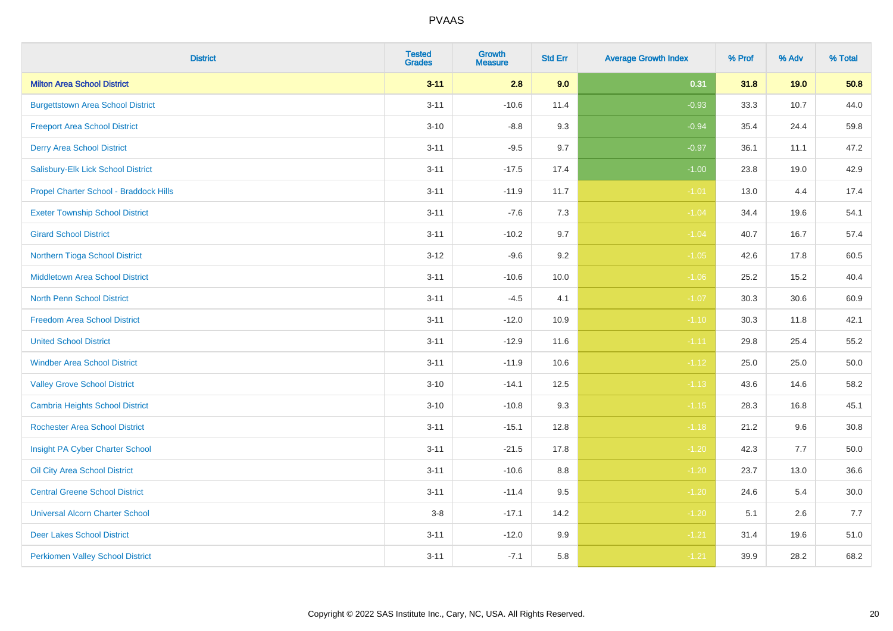| <b>District</b>                          | <b>Tested</b><br><b>Grades</b> | Growth<br><b>Measure</b> | <b>Std Err</b> | <b>Average Growth Index</b> | % Prof | % Adv | % Total  |
|------------------------------------------|--------------------------------|--------------------------|----------------|-----------------------------|--------|-------|----------|
| <b>Milton Area School District</b>       | $3 - 11$                       | 2.8                      | 9.0            | 0.31                        | 31.8   | 19.0  | 50.8     |
| <b>Burgettstown Area School District</b> | $3 - 11$                       | $-10.6$                  | 11.4           | $-0.93$                     | 33.3   | 10.7  | 44.0     |
| <b>Freeport Area School District</b>     | $3 - 10$                       | $-8.8$                   | 9.3            | $-0.94$                     | 35.4   | 24.4  | 59.8     |
| <b>Derry Area School District</b>        | $3 - 11$                       | $-9.5$                   | 9.7            | $-0.97$                     | 36.1   | 11.1  | 47.2     |
| Salisbury-Elk Lick School District       | $3 - 11$                       | $-17.5$                  | 17.4           | $-1.00$                     | 23.8   | 19.0  | 42.9     |
| Propel Charter School - Braddock Hills   | $3 - 11$                       | $-11.9$                  | 11.7           | $-1.01$                     | 13.0   | 4.4   | 17.4     |
| <b>Exeter Township School District</b>   | $3 - 11$                       | $-7.6$                   | 7.3            | $-1.04$                     | 34.4   | 19.6  | 54.1     |
| <b>Girard School District</b>            | $3 - 11$                       | $-10.2$                  | 9.7            | $-1.04$                     | 40.7   | 16.7  | 57.4     |
| Northern Tioga School District           | $3 - 12$                       | $-9.6$                   | 9.2            | $-1.05$                     | 42.6   | 17.8  | 60.5     |
| <b>Middletown Area School District</b>   | $3 - 11$                       | $-10.6$                  | 10.0           | $-1.06$                     | 25.2   | 15.2  | 40.4     |
| North Penn School District               | $3 - 11$                       | $-4.5$                   | 4.1            | $-1.07$                     | 30.3   | 30.6  | 60.9     |
| <b>Freedom Area School District</b>      | $3 - 11$                       | $-12.0$                  | 10.9           | $-1.10$                     | 30.3   | 11.8  | 42.1     |
| <b>United School District</b>            | $3 - 11$                       | $-12.9$                  | 11.6           | $-1.11$                     | 29.8   | 25.4  | 55.2     |
| <b>Windber Area School District</b>      | $3 - 11$                       | $-11.9$                  | 10.6           | $-1.12$                     | 25.0   | 25.0  | 50.0     |
| <b>Valley Grove School District</b>      | $3 - 10$                       | $-14.1$                  | 12.5           | $-1.13$                     | 43.6   | 14.6  | 58.2     |
| <b>Cambria Heights School District</b>   | $3 - 10$                       | $-10.8$                  | 9.3            | $-1.15$                     | 28.3   | 16.8  | 45.1     |
| <b>Rochester Area School District</b>    | $3 - 11$                       | $-15.1$                  | 12.8           | $-1.18$                     | 21.2   | 9.6   | 30.8     |
| Insight PA Cyber Charter School          | $3 - 11$                       | $-21.5$                  | 17.8           | $-1.20$                     | 42.3   | 7.7   | 50.0     |
| Oil City Area School District            | $3 - 11$                       | $-10.6$                  | 8.8            | $-1.20$                     | 23.7   | 13.0  | 36.6     |
| <b>Central Greene School District</b>    | $3 - 11$                       | $-11.4$                  | 9.5            | $-1.20$                     | 24.6   | 5.4   | $30.0\,$ |
| <b>Universal Alcorn Charter School</b>   | $3-8$                          | $-17.1$                  | 14.2           | $-1.20$                     | 5.1    | 2.6   | 7.7      |
| <b>Deer Lakes School District</b>        | $3 - 11$                       | $-12.0$                  | 9.9            | $-1.21$                     | 31.4   | 19.6  | 51.0     |
| <b>Perkiomen Valley School District</b>  | $3 - 11$                       | $-7.1$                   | 5.8            | $-1.21$                     | 39.9   | 28.2  | 68.2     |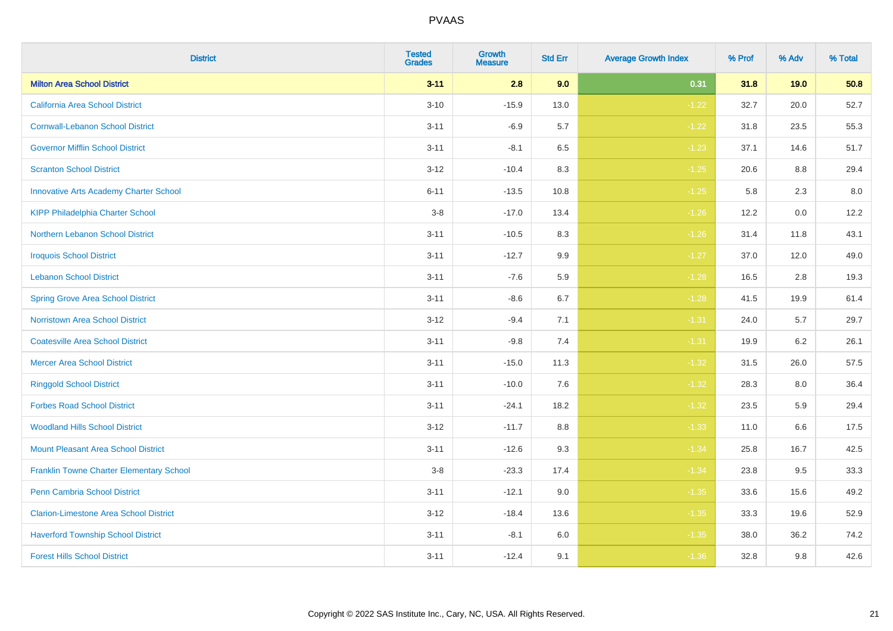| <b>District</b>                                 | <b>Tested</b><br><b>Grades</b> | Growth<br><b>Measure</b> | <b>Std Err</b> | <b>Average Growth Index</b> | % Prof | % Adv | % Total |
|-------------------------------------------------|--------------------------------|--------------------------|----------------|-----------------------------|--------|-------|---------|
| <b>Milton Area School District</b>              | $3 - 11$                       | 2.8                      | 9.0            | 0.31                        | 31.8   | 19.0  | 50.8    |
| California Area School District                 | $3 - 10$                       | $-15.9$                  | 13.0           | $-1.22$                     | 32.7   | 20.0  | 52.7    |
| <b>Cornwall-Lebanon School District</b>         | $3 - 11$                       | $-6.9$                   | 5.7            | $-1.22$                     | 31.8   | 23.5  | 55.3    |
| <b>Governor Mifflin School District</b>         | $3 - 11$                       | $-8.1$                   | 6.5            | $-1.23$                     | 37.1   | 14.6  | 51.7    |
| <b>Scranton School District</b>                 | $3 - 12$                       | $-10.4$                  | 8.3            | $-1.25$                     | 20.6   | 8.8   | 29.4    |
| <b>Innovative Arts Academy Charter School</b>   | $6 - 11$                       | $-13.5$                  | 10.8           | $-1.25$                     | 5.8    | 2.3   | 8.0     |
| <b>KIPP Philadelphia Charter School</b>         | $3 - 8$                        | $-17.0$                  | 13.4           | $-1.26$                     | 12.2   | 0.0   | 12.2    |
| Northern Lebanon School District                | $3 - 11$                       | $-10.5$                  | 8.3            | $-1.26$                     | 31.4   | 11.8  | 43.1    |
| <b>Iroquois School District</b>                 | $3 - 11$                       | $-12.7$                  | 9.9            | $-1.27$                     | 37.0   | 12.0  | 49.0    |
| <b>Lebanon School District</b>                  | $3 - 11$                       | $-7.6$                   | 5.9            | $-1.28$                     | 16.5   | 2.8   | 19.3    |
| <b>Spring Grove Area School District</b>        | $3 - 11$                       | $-8.6$                   | 6.7            | $-1.28$                     | 41.5   | 19.9  | 61.4    |
| <b>Norristown Area School District</b>          | $3 - 12$                       | $-9.4$                   | 7.1            | $-1.31$                     | 24.0   | 5.7   | 29.7    |
| <b>Coatesville Area School District</b>         | $3 - 11$                       | $-9.8$                   | 7.4            | $-1.31$                     | 19.9   | 6.2   | 26.1    |
| <b>Mercer Area School District</b>              | $3 - 11$                       | $-15.0$                  | 11.3           | $-1.32$                     | 31.5   | 26.0  | 57.5    |
| <b>Ringgold School District</b>                 | $3 - 11$                       | $-10.0$                  | 7.6            | $-1.32$                     | 28.3   | 8.0   | 36.4    |
| <b>Forbes Road School District</b>              | $3 - 11$                       | $-24.1$                  | 18.2           | $-1.32$                     | 23.5   | 5.9   | 29.4    |
| <b>Woodland Hills School District</b>           | $3 - 12$                       | $-11.7$                  | 8.8            | $-1.33$                     | 11.0   | 6.6   | 17.5    |
| <b>Mount Pleasant Area School District</b>      | $3 - 11$                       | $-12.6$                  | 9.3            | $-1.34$                     | 25.8   | 16.7  | 42.5    |
| <b>Franklin Towne Charter Elementary School</b> | $3-8$                          | $-23.3$                  | 17.4           | $-1.34$                     | 23.8   | 9.5   | 33.3    |
| Penn Cambria School District                    | $3 - 11$                       | $-12.1$                  | 9.0            | $-1.35$                     | 33.6   | 15.6  | 49.2    |
| <b>Clarion-Limestone Area School District</b>   | $3 - 12$                       | $-18.4$                  | 13.6           | $-1.35$                     | 33.3   | 19.6  | 52.9    |
| <b>Haverford Township School District</b>       | $3 - 11$                       | $-8.1$                   | 6.0            | $-1.35$                     | 38.0   | 36.2  | 74.2    |
| <b>Forest Hills School District</b>             | $3 - 11$                       | $-12.4$                  | 9.1            | $-1.36$                     | 32.8   | 9.8   | 42.6    |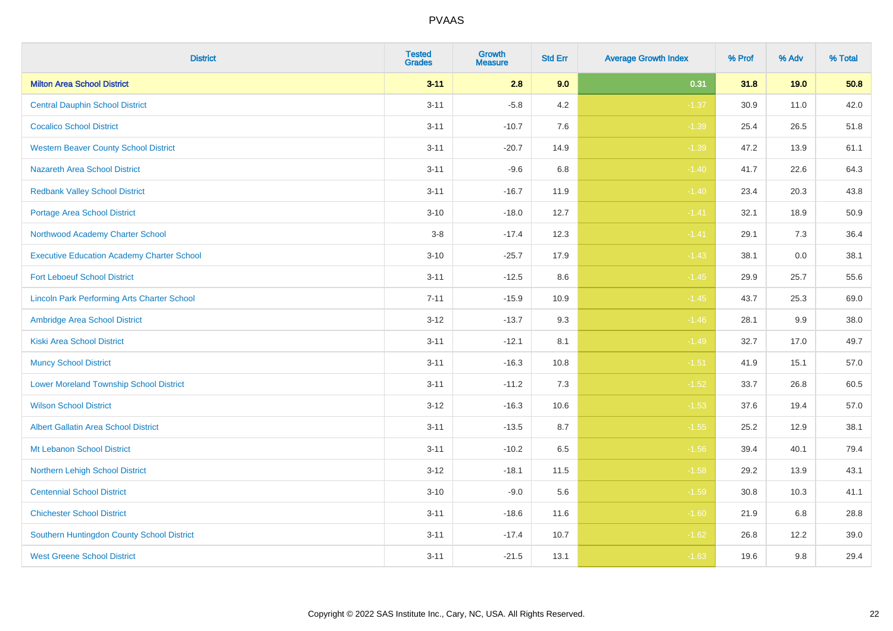| <b>District</b>                                    | <b>Tested</b><br><b>Grades</b> | <b>Growth</b><br><b>Measure</b> | <b>Std Err</b> | <b>Average Growth Index</b> | % Prof | % Adv | % Total |
|----------------------------------------------------|--------------------------------|---------------------------------|----------------|-----------------------------|--------|-------|---------|
| <b>Milton Area School District</b>                 | $3 - 11$                       | 2.8                             | 9.0            | 0.31                        | 31.8   | 19.0  | 50.8    |
| <b>Central Dauphin School District</b>             | $3 - 11$                       | $-5.8$                          | 4.2            | $-1.37$                     | 30.9   | 11.0  | 42.0    |
| <b>Cocalico School District</b>                    | $3 - 11$                       | $-10.7$                         | 7.6            | $-1.39$                     | 25.4   | 26.5  | 51.8    |
| <b>Western Beaver County School District</b>       | $3 - 11$                       | $-20.7$                         | 14.9           | $-1.39$                     | 47.2   | 13.9  | 61.1    |
| <b>Nazareth Area School District</b>               | $3 - 11$                       | $-9.6$                          | 6.8            | $-1.40$                     | 41.7   | 22.6  | 64.3    |
| <b>Redbank Valley School District</b>              | $3 - 11$                       | $-16.7$                         | 11.9           | $-1.40$                     | 23.4   | 20.3  | 43.8    |
| <b>Portage Area School District</b>                | $3 - 10$                       | $-18.0$                         | 12.7           | $-1.41$                     | 32.1   | 18.9  | 50.9    |
| Northwood Academy Charter School                   | $3-8$                          | $-17.4$                         | 12.3           | $-1.41$                     | 29.1   | 7.3   | 36.4    |
| <b>Executive Education Academy Charter School</b>  | $3 - 10$                       | $-25.7$                         | 17.9           | $-1.43$                     | 38.1   | 0.0   | 38.1    |
| <b>Fort Leboeuf School District</b>                | $3 - 11$                       | $-12.5$                         | $8.6\,$        | $-1.45$                     | 29.9   | 25.7  | 55.6    |
| <b>Lincoln Park Performing Arts Charter School</b> | $7 - 11$                       | $-15.9$                         | 10.9           | $-1.45$                     | 43.7   | 25.3  | 69.0    |
| Ambridge Area School District                      | $3 - 12$                       | $-13.7$                         | 9.3            | $-1.46$                     | 28.1   | 9.9   | 38.0    |
| <b>Kiski Area School District</b>                  | $3 - 11$                       | $-12.1$                         | 8.1            | $-1.49$                     | 32.7   | 17.0  | 49.7    |
| <b>Muncy School District</b>                       | $3 - 11$                       | $-16.3$                         | 10.8           | $-1.51$                     | 41.9   | 15.1  | 57.0    |
| <b>Lower Moreland Township School District</b>     | $3 - 11$                       | $-11.2$                         | 7.3            | $-1.52$                     | 33.7   | 26.8  | 60.5    |
| <b>Wilson School District</b>                      | $3 - 12$                       | $-16.3$                         | 10.6           | $-1.53$                     | 37.6   | 19.4  | 57.0    |
| <b>Albert Gallatin Area School District</b>        | $3 - 11$                       | $-13.5$                         | 8.7            | $-1.55$                     | 25.2   | 12.9  | 38.1    |
| Mt Lebanon School District                         | $3 - 11$                       | $-10.2$                         | 6.5            | $-1.56$                     | 39.4   | 40.1  | 79.4    |
| Northern Lehigh School District                    | $3 - 12$                       | $-18.1$                         | 11.5           | $-1.58$                     | 29.2   | 13.9  | 43.1    |
| <b>Centennial School District</b>                  | $3 - 10$                       | $-9.0$                          | 5.6            | $-1.59$                     | 30.8   | 10.3  | 41.1    |
| <b>Chichester School District</b>                  | $3 - 11$                       | $-18.6$                         | 11.6           | $-1.60$                     | 21.9   | 6.8   | 28.8    |
| Southern Huntingdon County School District         | $3 - 11$                       | $-17.4$                         | 10.7           | $-1.62$                     | 26.8   | 12.2  | 39.0    |
| <b>West Greene School District</b>                 | $3 - 11$                       | $-21.5$                         | 13.1           | $-1.63$                     | 19.6   | 9.8   | 29.4    |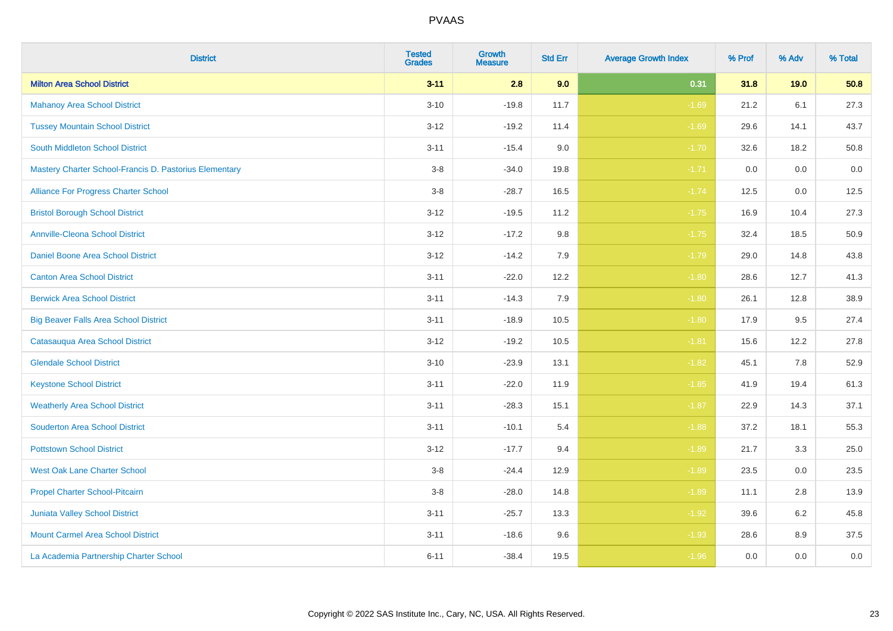| <b>District</b>                                        | <b>Tested</b><br><b>Grades</b> | <b>Growth</b><br><b>Measure</b> | <b>Std Err</b> | <b>Average Growth Index</b> | % Prof | % Adv | % Total |
|--------------------------------------------------------|--------------------------------|---------------------------------|----------------|-----------------------------|--------|-------|---------|
| <b>Milton Area School District</b>                     | $3 - 11$                       | 2.8                             | 9.0            | 0.31                        | 31.8   | 19.0  | 50.8    |
| <b>Mahanoy Area School District</b>                    | $3 - 10$                       | $-19.8$                         | 11.7           | $-1.69$                     | 21.2   | 6.1   | 27.3    |
| <b>Tussey Mountain School District</b>                 | $3 - 12$                       | $-19.2$                         | 11.4           | $-1.69$                     | 29.6   | 14.1  | 43.7    |
| <b>South Middleton School District</b>                 | $3 - 11$                       | $-15.4$                         | 9.0            | $-1.70$                     | 32.6   | 18.2  | 50.8    |
| Mastery Charter School-Francis D. Pastorius Elementary | $3-8$                          | $-34.0$                         | 19.8           | $-1.71$                     | 0.0    | 0.0   | 0.0     |
| Alliance For Progress Charter School                   | $3-8$                          | $-28.7$                         | 16.5           | $-1.74$                     | 12.5   | 0.0   | 12.5    |
| <b>Bristol Borough School District</b>                 | $3 - 12$                       | $-19.5$                         | 11.2           | $-1.75$                     | 16.9   | 10.4  | 27.3    |
| <b>Annville-Cleona School District</b>                 | $3 - 12$                       | $-17.2$                         | 9.8            | $-1.75$                     | 32.4   | 18.5  | 50.9    |
| Daniel Boone Area School District                      | $3 - 12$                       | $-14.2$                         | 7.9            | $-1.79$                     | 29.0   | 14.8  | 43.8    |
| <b>Canton Area School District</b>                     | $3 - 11$                       | $-22.0$                         | 12.2           | $-1.80$                     | 28.6   | 12.7  | 41.3    |
| <b>Berwick Area School District</b>                    | $3 - 11$                       | $-14.3$                         | 7.9            | $-1.80$                     | 26.1   | 12.8  | 38.9    |
| <b>Big Beaver Falls Area School District</b>           | $3 - 11$                       | $-18.9$                         | 10.5           | $-1.80$                     | 17.9   | 9.5   | 27.4    |
| Catasauqua Area School District                        | $3 - 12$                       | $-19.2$                         | 10.5           | $-1.81$                     | 15.6   | 12.2  | 27.8    |
| <b>Glendale School District</b>                        | $3 - 10$                       | $-23.9$                         | 13.1           | $-1.82$                     | 45.1   | 7.8   | 52.9    |
| <b>Keystone School District</b>                        | $3 - 11$                       | $-22.0$                         | 11.9           | $-1.85$                     | 41.9   | 19.4  | 61.3    |
| <b>Weatherly Area School District</b>                  | $3 - 11$                       | $-28.3$                         | 15.1           | $-1.87$                     | 22.9   | 14.3  | 37.1    |
| <b>Souderton Area School District</b>                  | $3 - 11$                       | $-10.1$                         | 5.4            | $-1.88$                     | 37.2   | 18.1  | 55.3    |
| <b>Pottstown School District</b>                       | $3 - 12$                       | $-17.7$                         | 9.4            | $-1.89$                     | 21.7   | 3.3   | 25.0    |
| <b>West Oak Lane Charter School</b>                    | $3-8$                          | $-24.4$                         | 12.9           | $-1.89$                     | 23.5   | 0.0   | 23.5    |
| Propel Charter School-Pitcairn                         | $3-8$                          | $-28.0$                         | 14.8           | $-1.89$                     | 11.1   | 2.8   | 13.9    |
| Juniata Valley School District                         | $3 - 11$                       | $-25.7$                         | 13.3           | $-1.92$                     | 39.6   | 6.2   | 45.8    |
| <b>Mount Carmel Area School District</b>               | $3 - 11$                       | $-18.6$                         | 9.6            | $-1.93$                     | 28.6   | 8.9   | 37.5    |
| La Academia Partnership Charter School                 | $6 - 11$                       | $-38.4$                         | 19.5           | $-1.96$                     | 0.0    | 0.0   | $0.0\,$ |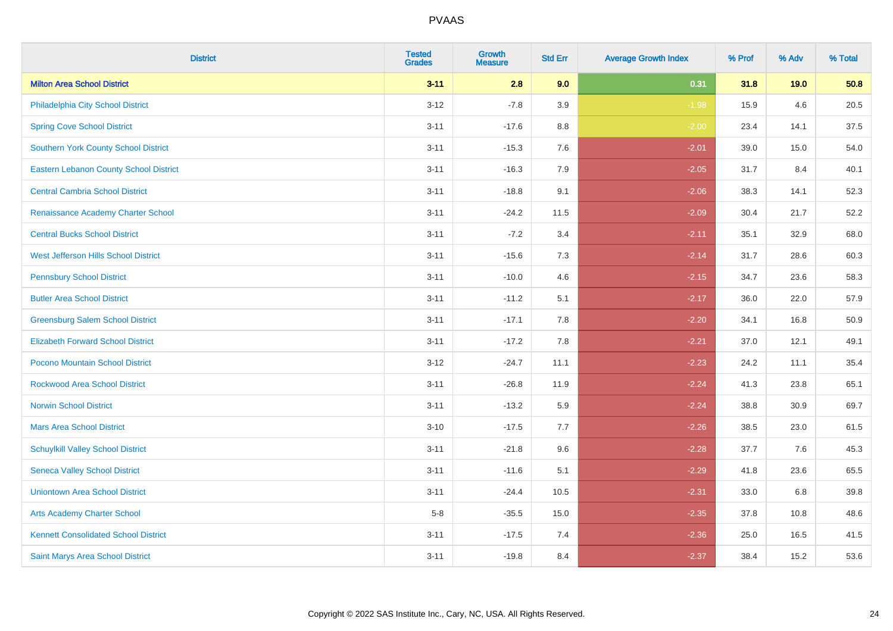| <b>District</b>                               | <b>Tested</b><br><b>Grades</b> | Growth<br><b>Measure</b> | <b>Std Err</b> | <b>Average Growth Index</b> | % Prof | % Adv | % Total |
|-----------------------------------------------|--------------------------------|--------------------------|----------------|-----------------------------|--------|-------|---------|
| <b>Milton Area School District</b>            | $3 - 11$                       | 2.8                      | 9.0            | 0.31                        | 31.8   | 19.0  | 50.8    |
| Philadelphia City School District             | $3 - 12$                       | $-7.8$                   | 3.9            | $-1.98$                     | 15.9   | 4.6   | 20.5    |
| <b>Spring Cove School District</b>            | $3 - 11$                       | $-17.6$                  | 8.8            | $-2.00$                     | 23.4   | 14.1  | 37.5    |
| Southern York County School District          | $3 - 11$                       | $-15.3$                  | 7.6            | $-2.01$                     | 39.0   | 15.0  | 54.0    |
| <b>Eastern Lebanon County School District</b> | $3 - 11$                       | $-16.3$                  | 7.9            | $-2.05$                     | 31.7   | 8.4   | 40.1    |
| <b>Central Cambria School District</b>        | $3 - 11$                       | $-18.8$                  | 9.1            | $-2.06$                     | 38.3   | 14.1  | 52.3    |
| Renaissance Academy Charter School            | $3 - 11$                       | $-24.2$                  | 11.5           | $-2.09$                     | 30.4   | 21.7  | 52.2    |
| <b>Central Bucks School District</b>          | $3 - 11$                       | $-7.2$                   | 3.4            | $-2.11$                     | 35.1   | 32.9  | 68.0    |
| West Jefferson Hills School District          | $3 - 11$                       | $-15.6$                  | 7.3            | $-2.14$                     | 31.7   | 28.6  | 60.3    |
| <b>Pennsbury School District</b>              | $3 - 11$                       | $-10.0$                  | 4.6            | $-2.15$                     | 34.7   | 23.6  | 58.3    |
| <b>Butler Area School District</b>            | $3 - 11$                       | $-11.2$                  | 5.1            | $-2.17$                     | 36.0   | 22.0  | 57.9    |
| <b>Greensburg Salem School District</b>       | $3 - 11$                       | $-17.1$                  | 7.8            | $-2.20$                     | 34.1   | 16.8  | 50.9    |
| <b>Elizabeth Forward School District</b>      | $3 - 11$                       | $-17.2$                  | 7.8            | $-2.21$                     | 37.0   | 12.1  | 49.1    |
| Pocono Mountain School District               | $3 - 12$                       | $-24.7$                  | 11.1           | $-2.23$                     | 24.2   | 11.1  | 35.4    |
| <b>Rockwood Area School District</b>          | $3 - 11$                       | $-26.8$                  | 11.9           | $-2.24$                     | 41.3   | 23.8  | 65.1    |
| <b>Norwin School District</b>                 | $3 - 11$                       | $-13.2$                  | 5.9            | $-2.24$                     | 38.8   | 30.9  | 69.7    |
| <b>Mars Area School District</b>              | $3 - 10$                       | $-17.5$                  | 7.7            | $-2.26$                     | 38.5   | 23.0  | 61.5    |
| <b>Schuylkill Valley School District</b>      | $3 - 11$                       | $-21.8$                  | 9.6            | $-2.28$                     | 37.7   | 7.6   | 45.3    |
| <b>Seneca Valley School District</b>          | $3 - 11$                       | $-11.6$                  | 5.1            | $-2.29$                     | 41.8   | 23.6  | 65.5    |
| <b>Uniontown Area School District</b>         | $3 - 11$                       | $-24.4$                  | 10.5           | $-2.31$                     | 33.0   | 6.8   | 39.8    |
| <b>Arts Academy Charter School</b>            | $5-8$                          | $-35.5$                  | 15.0           | $-2.35$                     | 37.8   | 10.8  | 48.6    |
| <b>Kennett Consolidated School District</b>   | $3 - 11$                       | $-17.5$                  | 7.4            | $-2.36$                     | 25.0   | 16.5  | 41.5    |
| Saint Marys Area School District              | $3 - 11$                       | $-19.8$                  | 8.4            | $-2.37$                     | 38.4   | 15.2  | 53.6    |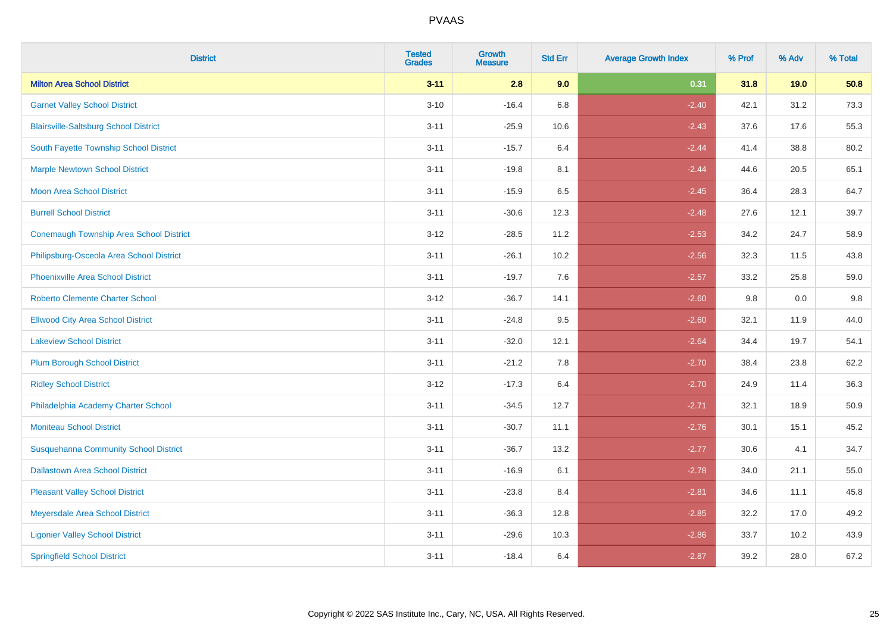| <b>District</b>                                | <b>Tested</b><br><b>Grades</b> | <b>Growth</b><br><b>Measure</b> | <b>Std Err</b> | <b>Average Growth Index</b> | % Prof | % Adv | % Total |
|------------------------------------------------|--------------------------------|---------------------------------|----------------|-----------------------------|--------|-------|---------|
| <b>Milton Area School District</b>             | $3 - 11$                       | 2.8                             | 9.0            | 0.31                        | 31.8   | 19.0  | 50.8    |
| <b>Garnet Valley School District</b>           | $3 - 10$                       | $-16.4$                         | 6.8            | $-2.40$                     | 42.1   | 31.2  | 73.3    |
| <b>Blairsville-Saltsburg School District</b>   | $3 - 11$                       | $-25.9$                         | 10.6           | $-2.43$                     | 37.6   | 17.6  | 55.3    |
| South Fayette Township School District         | $3 - 11$                       | $-15.7$                         | 6.4            | $-2.44$                     | 41.4   | 38.8  | 80.2    |
| <b>Marple Newtown School District</b>          | $3 - 11$                       | $-19.8$                         | 8.1            | $-2.44$                     | 44.6   | 20.5  | 65.1    |
| <b>Moon Area School District</b>               | $3 - 11$                       | $-15.9$                         | 6.5            | $-2.45$                     | 36.4   | 28.3  | 64.7    |
| <b>Burrell School District</b>                 | $3 - 11$                       | $-30.6$                         | 12.3           | $-2.48$                     | 27.6   | 12.1  | 39.7    |
| <b>Conemaugh Township Area School District</b> | $3 - 12$                       | $-28.5$                         | 11.2           | $-2.53$                     | 34.2   | 24.7  | 58.9    |
| Philipsburg-Osceola Area School District       | $3 - 11$                       | $-26.1$                         | 10.2           | $-2.56$                     | 32.3   | 11.5  | 43.8    |
| <b>Phoenixville Area School District</b>       | $3 - 11$                       | $-19.7$                         | 7.6            | $-2.57$                     | 33.2   | 25.8  | 59.0    |
| <b>Roberto Clemente Charter School</b>         | $3 - 12$                       | $-36.7$                         | 14.1           | $-2.60$                     | 9.8    | 0.0   | 9.8     |
| <b>Ellwood City Area School District</b>       | $3 - 11$                       | $-24.8$                         | 9.5            | $-2.60$                     | 32.1   | 11.9  | 44.0    |
| <b>Lakeview School District</b>                | $3 - 11$                       | $-32.0$                         | 12.1           | $-2.64$                     | 34.4   | 19.7  | 54.1    |
| <b>Plum Borough School District</b>            | $3 - 11$                       | $-21.2$                         | 7.8            | $-2.70$                     | 38.4   | 23.8  | 62.2    |
| <b>Ridley School District</b>                  | $3 - 12$                       | $-17.3$                         | 6.4            | $-2.70$                     | 24.9   | 11.4  | 36.3    |
| Philadelphia Academy Charter School            | $3 - 11$                       | $-34.5$                         | 12.7           | $-2.71$                     | 32.1   | 18.9  | 50.9    |
| <b>Moniteau School District</b>                | $3 - 11$                       | $-30.7$                         | 11.1           | $-2.76$                     | 30.1   | 15.1  | 45.2    |
| <b>Susquehanna Community School District</b>   | $3 - 11$                       | $-36.7$                         | 13.2           | $-2.77$                     | 30.6   | 4.1   | 34.7    |
| <b>Dallastown Area School District</b>         | $3 - 11$                       | $-16.9$                         | 6.1            | $-2.78$                     | 34.0   | 21.1  | 55.0    |
| <b>Pleasant Valley School District</b>         | $3 - 11$                       | $-23.8$                         | 8.4            | $-2.81$                     | 34.6   | 11.1  | 45.8    |
| Meyersdale Area School District                | $3 - 11$                       | $-36.3$                         | 12.8           | $-2.85$                     | 32.2   | 17.0  | 49.2    |
| <b>Ligonier Valley School District</b>         | $3 - 11$                       | $-29.6$                         | 10.3           | $-2.86$                     | 33.7   | 10.2  | 43.9    |
| <b>Springfield School District</b>             | $3 - 11$                       | $-18.4$                         | 6.4            | $-2.87$                     | 39.2   | 28.0  | 67.2    |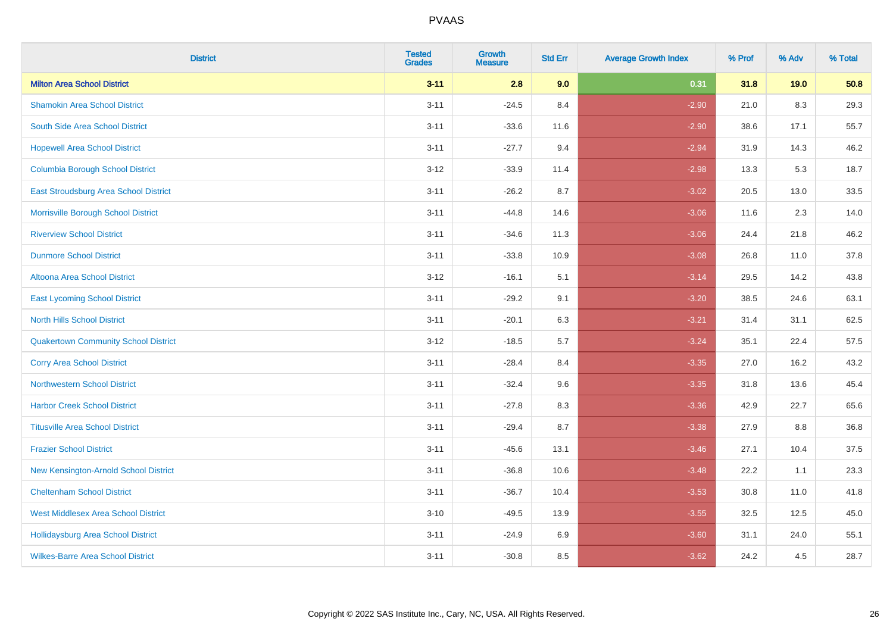| <b>District</b>                             | <b>Tested</b><br><b>Grades</b> | Growth<br><b>Measure</b> | <b>Std Err</b> | <b>Average Growth Index</b> | % Prof | % Adv | % Total |
|---------------------------------------------|--------------------------------|--------------------------|----------------|-----------------------------|--------|-------|---------|
| <b>Milton Area School District</b>          | $3 - 11$                       | 2.8                      | 9.0            | 0.31                        | 31.8   | 19.0  | 50.8    |
| <b>Shamokin Area School District</b>        | $3 - 11$                       | $-24.5$                  | 8.4            | $-2.90$                     | 21.0   | 8.3   | 29.3    |
| South Side Area School District             | $3 - 11$                       | $-33.6$                  | 11.6           | $-2.90$                     | 38.6   | 17.1  | 55.7    |
| <b>Hopewell Area School District</b>        | $3 - 11$                       | $-27.7$                  | 9.4            | $-2.94$                     | 31.9   | 14.3  | 46.2    |
| <b>Columbia Borough School District</b>     | $3 - 12$                       | $-33.9$                  | 11.4           | $-2.98$                     | 13.3   | 5.3   | 18.7    |
| East Stroudsburg Area School District       | $3 - 11$                       | $-26.2$                  | 8.7            | $-3.02$                     | 20.5   | 13.0  | 33.5    |
| Morrisville Borough School District         | $3 - 11$                       | $-44.8$                  | 14.6           | $-3.06$                     | 11.6   | 2.3   | 14.0    |
| <b>Riverview School District</b>            | $3 - 11$                       | $-34.6$                  | 11.3           | $-3.06$                     | 24.4   | 21.8  | 46.2    |
| <b>Dunmore School District</b>              | $3 - 11$                       | $-33.8$                  | 10.9           | $-3.08$                     | 26.8   | 11.0  | 37.8    |
| <b>Altoona Area School District</b>         | $3-12$                         | $-16.1$                  | 5.1            | $-3.14$                     | 29.5   | 14.2  | 43.8    |
| <b>East Lycoming School District</b>        | $3 - 11$                       | $-29.2$                  | 9.1            | $-3.20$                     | 38.5   | 24.6  | 63.1    |
| <b>North Hills School District</b>          | $3 - 11$                       | $-20.1$                  | 6.3            | $-3.21$                     | 31.4   | 31.1  | 62.5    |
| <b>Quakertown Community School District</b> | $3 - 12$                       | $-18.5$                  | 5.7            | $-3.24$                     | 35.1   | 22.4  | 57.5    |
| <b>Corry Area School District</b>           | $3 - 11$                       | $-28.4$                  | 8.4            | $-3.35$                     | 27.0   | 16.2  | 43.2    |
| <b>Northwestern School District</b>         | $3 - 11$                       | $-32.4$                  | 9.6            | $-3.35$                     | 31.8   | 13.6  | 45.4    |
| <b>Harbor Creek School District</b>         | $3 - 11$                       | $-27.8$                  | 8.3            | $-3.36$                     | 42.9   | 22.7  | 65.6    |
| <b>Titusville Area School District</b>      | $3 - 11$                       | $-29.4$                  | 8.7            | $-3.38$                     | 27.9   | 8.8   | 36.8    |
| <b>Frazier School District</b>              | $3 - 11$                       | $-45.6$                  | 13.1           | $-3.46$                     | 27.1   | 10.4  | 37.5    |
| New Kensington-Arnold School District       | $3 - 11$                       | $-36.8$                  | 10.6           | $-3.48$                     | 22.2   | 1.1   | 23.3    |
| <b>Cheltenham School District</b>           | $3 - 11$                       | $-36.7$                  | 10.4           | $-3.53$                     | 30.8   | 11.0  | 41.8    |
| <b>West Middlesex Area School District</b>  | $3 - 10$                       | $-49.5$                  | 13.9           | $-3.55$                     | 32.5   | 12.5  | 45.0    |
| <b>Hollidaysburg Area School District</b>   | $3 - 11$                       | $-24.9$                  | 6.9            | $-3.60$                     | 31.1   | 24.0  | 55.1    |
| <b>Wilkes-Barre Area School District</b>    | $3 - 11$                       | $-30.8$                  | 8.5            | $-3.62$                     | 24.2   | 4.5   | 28.7    |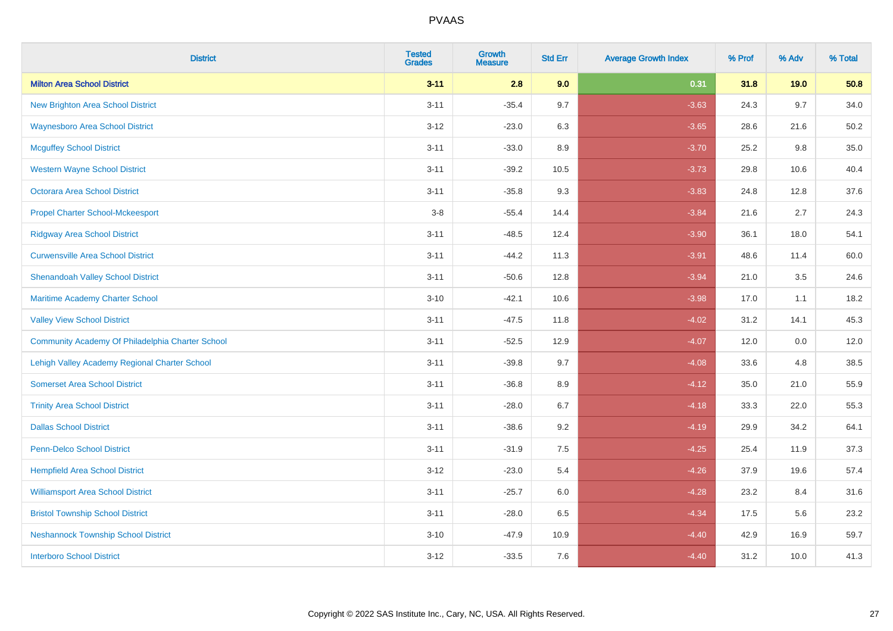| <b>District</b>                                  | <b>Tested</b><br><b>Grades</b> | Growth<br><b>Measure</b> | <b>Std Err</b> | <b>Average Growth Index</b> | % Prof | % Adv | % Total |
|--------------------------------------------------|--------------------------------|--------------------------|----------------|-----------------------------|--------|-------|---------|
| <b>Milton Area School District</b>               | $3 - 11$                       | 2.8                      | 9.0            | 0.31                        | 31.8   | 19.0  | 50.8    |
| <b>New Brighton Area School District</b>         | $3 - 11$                       | $-35.4$                  | 9.7            | $-3.63$                     | 24.3   | 9.7   | 34.0    |
| <b>Waynesboro Area School District</b>           | $3 - 12$                       | $-23.0$                  | 6.3            | $-3.65$                     | 28.6   | 21.6  | 50.2    |
| <b>Mcguffey School District</b>                  | $3 - 11$                       | $-33.0$                  | 8.9            | $-3.70$                     | 25.2   | 9.8   | 35.0    |
| <b>Western Wayne School District</b>             | $3 - 11$                       | $-39.2$                  | 10.5           | $-3.73$                     | 29.8   | 10.6  | 40.4    |
| Octorara Area School District                    | $3 - 11$                       | $-35.8$                  | 9.3            | $-3.83$                     | 24.8   | 12.8  | 37.6    |
| <b>Propel Charter School-Mckeesport</b>          | $3 - 8$                        | $-55.4$                  | 14.4           | $-3.84$                     | 21.6   | 2.7   | 24.3    |
| <b>Ridgway Area School District</b>              | $3 - 11$                       | $-48.5$                  | 12.4           | $-3.90$                     | 36.1   | 18.0  | 54.1    |
| <b>Curwensville Area School District</b>         | $3 - 11$                       | $-44.2$                  | 11.3           | $-3.91$                     | 48.6   | 11.4  | 60.0    |
| <b>Shenandoah Valley School District</b>         | $3 - 11$                       | $-50.6$                  | 12.8           | $-3.94$                     | 21.0   | 3.5   | 24.6    |
| Maritime Academy Charter School                  | $3 - 10$                       | $-42.1$                  | 10.6           | $-3.98$                     | 17.0   | 1.1   | 18.2    |
| <b>Valley View School District</b>               | $3 - 11$                       | $-47.5$                  | 11.8           | $-4.02$                     | 31.2   | 14.1  | 45.3    |
| Community Academy Of Philadelphia Charter School | $3 - 11$                       | $-52.5$                  | 12.9           | $-4.07$                     | 12.0   | 0.0   | 12.0    |
| Lehigh Valley Academy Regional Charter School    | $3 - 11$                       | $-39.8$                  | 9.7            | $-4.08$                     | 33.6   | 4.8   | 38.5    |
| <b>Somerset Area School District</b>             | $3 - 11$                       | $-36.8$                  | 8.9            | $-4.12$                     | 35.0   | 21.0  | 55.9    |
| <b>Trinity Area School District</b>              | $3 - 11$                       | $-28.0$                  | 6.7            | $-4.18$                     | 33.3   | 22.0  | 55.3    |
| <b>Dallas School District</b>                    | $3 - 11$                       | $-38.6$                  | 9.2            | $-4.19$                     | 29.9   | 34.2  | 64.1    |
| <b>Penn-Delco School District</b>                | $3 - 11$                       | $-31.9$                  | 7.5            | $-4.25$                     | 25.4   | 11.9  | 37.3    |
| <b>Hempfield Area School District</b>            | $3 - 12$                       | $-23.0$                  | 5.4            | $-4.26$                     | 37.9   | 19.6  | 57.4    |
| <b>Williamsport Area School District</b>         | $3 - 11$                       | $-25.7$                  | 6.0            | $-4.28$                     | 23.2   | 8.4   | 31.6    |
| <b>Bristol Township School District</b>          | $3 - 11$                       | $-28.0$                  | 6.5            | $-4.34$                     | 17.5   | 5.6   | 23.2    |
| <b>Neshannock Township School District</b>       | $3 - 10$                       | $-47.9$                  | 10.9           | $-4.40$                     | 42.9   | 16.9  | 59.7    |
| <b>Interboro School District</b>                 | $3 - 12$                       | $-33.5$                  | 7.6            | $-4.40$                     | 31.2   | 10.0  | 41.3    |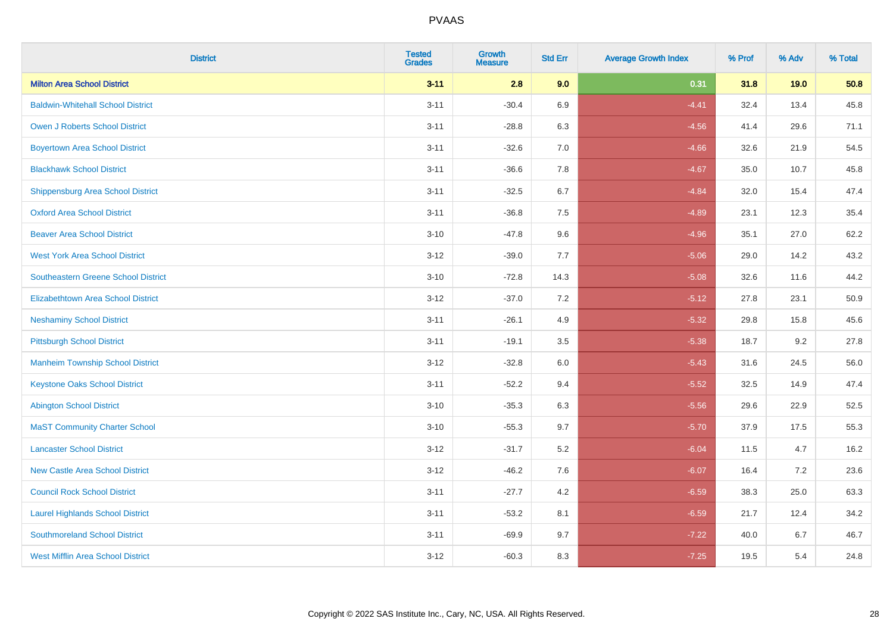| <b>District</b>                            | <b>Tested</b><br><b>Grades</b> | <b>Growth</b><br><b>Measure</b> | <b>Std Err</b> | <b>Average Growth Index</b> | % Prof | % Adv | % Total |
|--------------------------------------------|--------------------------------|---------------------------------|----------------|-----------------------------|--------|-------|---------|
| <b>Milton Area School District</b>         | $3 - 11$                       | 2.8                             | 9.0            | 0.31                        | 31.8   | 19.0  | 50.8    |
| <b>Baldwin-Whitehall School District</b>   | $3 - 11$                       | $-30.4$                         | 6.9            | $-4.41$                     | 32.4   | 13.4  | 45.8    |
| <b>Owen J Roberts School District</b>      | $3 - 11$                       | $-28.8$                         | 6.3            | $-4.56$                     | 41.4   | 29.6  | 71.1    |
| <b>Boyertown Area School District</b>      | $3 - 11$                       | $-32.6$                         | 7.0            | $-4.66$                     | 32.6   | 21.9  | 54.5    |
| <b>Blackhawk School District</b>           | $3 - 11$                       | $-36.6$                         | 7.8            | $-4.67$                     | 35.0   | 10.7  | 45.8    |
| Shippensburg Area School District          | $3 - 11$                       | $-32.5$                         | 6.7            | $-4.84$                     | 32.0   | 15.4  | 47.4    |
| <b>Oxford Area School District</b>         | $3 - 11$                       | $-36.8$                         | $7.5\,$        | $-4.89$                     | 23.1   | 12.3  | 35.4    |
| <b>Beaver Area School District</b>         | $3 - 10$                       | $-47.8$                         | 9.6            | $-4.96$                     | 35.1   | 27.0  | 62.2    |
| <b>West York Area School District</b>      | $3 - 12$                       | $-39.0$                         | 7.7            | $-5.06$                     | 29.0   | 14.2  | 43.2    |
| <b>Southeastern Greene School District</b> | $3 - 10$                       | $-72.8$                         | 14.3           | $-5.08$                     | 32.6   | 11.6  | 44.2    |
| <b>Elizabethtown Area School District</b>  | $3 - 12$                       | $-37.0$                         | $7.2\,$        | $-5.12$                     | 27.8   | 23.1  | 50.9    |
| <b>Neshaminy School District</b>           | $3 - 11$                       | $-26.1$                         | 4.9            | $-5.32$                     | 29.8   | 15.8  | 45.6    |
| <b>Pittsburgh School District</b>          | $3 - 11$                       | $-19.1$                         | 3.5            | $-5.38$                     | 18.7   | 9.2   | 27.8    |
| <b>Manheim Township School District</b>    | $3 - 12$                       | $-32.8$                         | $6.0\,$        | $-5.43$                     | 31.6   | 24.5  | 56.0    |
| <b>Keystone Oaks School District</b>       | $3 - 11$                       | $-52.2$                         | 9.4            | $-5.52$                     | 32.5   | 14.9  | 47.4    |
| <b>Abington School District</b>            | $3 - 10$                       | $-35.3$                         | 6.3            | $-5.56$                     | 29.6   | 22.9  | 52.5    |
| <b>MaST Community Charter School</b>       | $3 - 10$                       | $-55.3$                         | 9.7            | $-5.70$                     | 37.9   | 17.5  | 55.3    |
| <b>Lancaster School District</b>           | $3 - 12$                       | $-31.7$                         | $5.2\,$        | $-6.04$                     | 11.5   | 4.7   | 16.2    |
| <b>New Castle Area School District</b>     | $3 - 12$                       | $-46.2$                         | 7.6            | $-6.07$                     | 16.4   | 7.2   | 23.6    |
| <b>Council Rock School District</b>        | $3 - 11$                       | $-27.7$                         | 4.2            | $-6.59$                     | 38.3   | 25.0  | 63.3    |
| <b>Laurel Highlands School District</b>    | $3 - 11$                       | $-53.2$                         | 8.1            | $-6.59$                     | 21.7   | 12.4  | 34.2    |
| <b>Southmoreland School District</b>       | $3 - 11$                       | $-69.9$                         | 9.7            | $-7.22$                     | 40.0   | 6.7   | 46.7    |
| <b>West Mifflin Area School District</b>   | $3 - 12$                       | $-60.3$                         | 8.3            | $-7.25$                     | 19.5   | 5.4   | 24.8    |